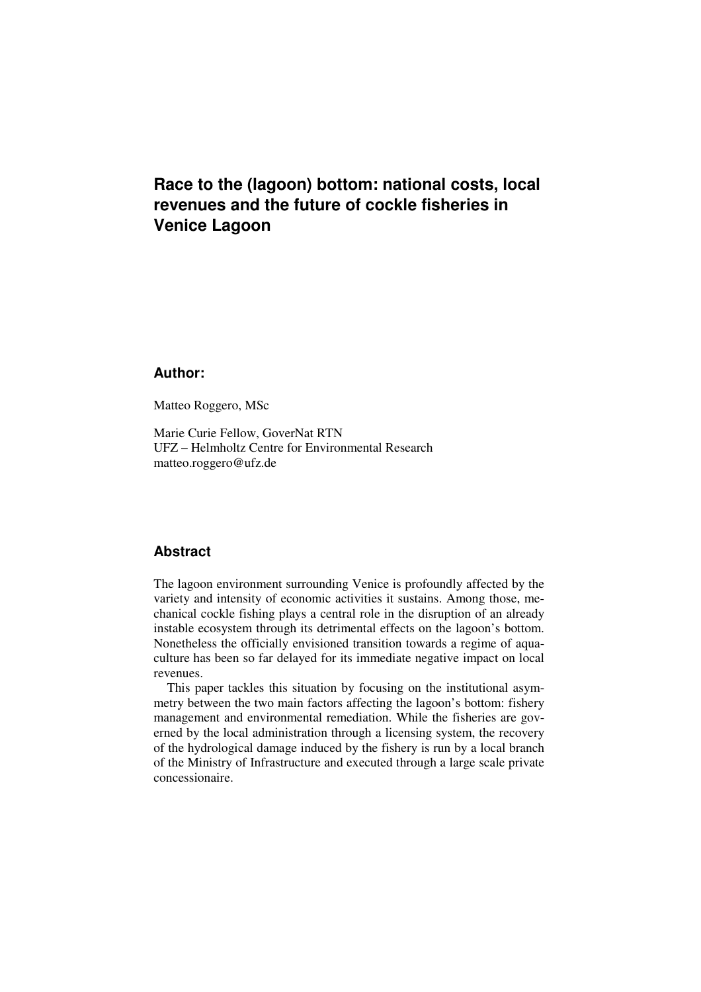# **Race to the (lagoon) bottom: national costs, local revenues and the future of cockle fisheries in Venice Lagoon**

# **Author:**

Matteo Roggero, MSc

Marie Curie Fellow, GoverNat RTN UFZ – Helmholtz Centre for Environmental Research matteo.roggero@ufz.de

# **Abstract**

The lagoon environment surrounding Venice is profoundly affected by the variety and intensity of economic activities it sustains. Among those, mechanical cockle fishing plays a central role in the disruption of an already instable ecosystem through its detrimental effects on the lagoon's bottom. Nonetheless the officially envisioned transition towards a regime of aquaculture has been so far delayed for its immediate negative impact on local revenues.

This paper tackles this situation by focusing on the institutional asymmetry between the two main factors affecting the lagoon's bottom: fishery management and environmental remediation. While the fisheries are governed by the local administration through a licensing system, the recovery of the hydrological damage induced by the fishery is run by a local branch of the Ministry of Infrastructure and executed through a large scale private concessionaire.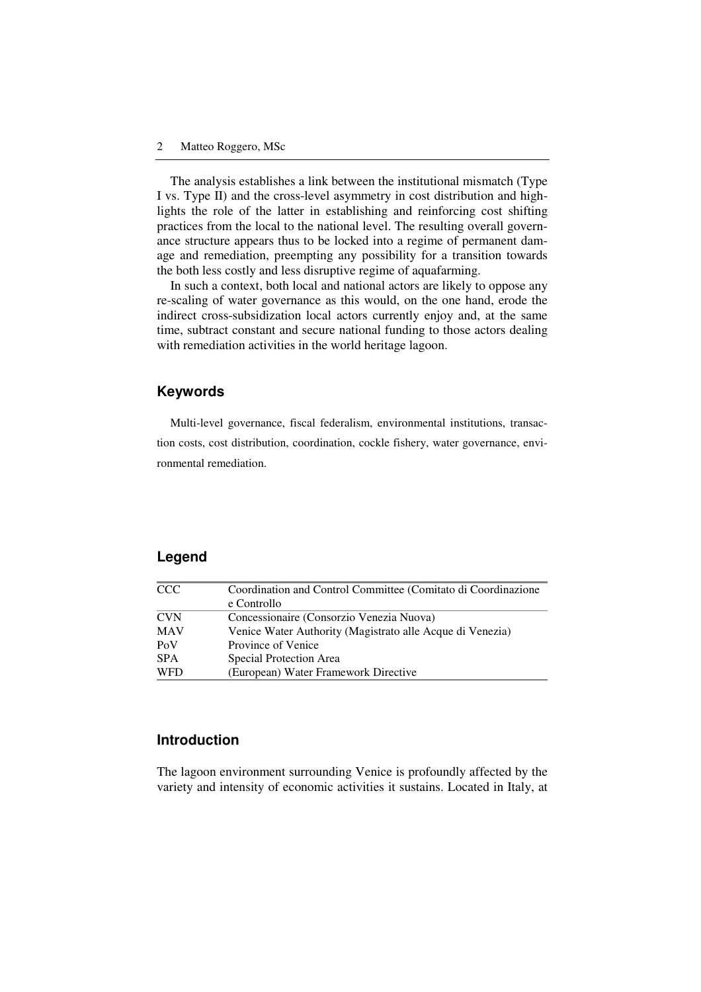The analysis establishes a link between the institutional mismatch (Type I vs. Type II) and the cross-level asymmetry in cost distribution and highlights the role of the latter in establishing and reinforcing cost shifting practices from the local to the national level. The resulting overall governance structure appears thus to be locked into a regime of permanent damage and remediation, preempting any possibility for a transition towards the both less costly and less disruptive regime of aquafarming.

In such a context, both local and national actors are likely to oppose any re-scaling of water governance as this would, on the one hand, erode the indirect cross-subsidization local actors currently enjoy and, at the same time, subtract constant and secure national funding to those actors dealing with remediation activities in the world heritage lagoon.

# **Keywords**

Multi-level governance, fiscal federalism, environmental institutions, transaction costs, cost distribution, coordination, cockle fishery, water governance, environmental remediation.

# **Legend**

| <b>CCC</b> | Coordination and Control Committee (Comitato di Coordinazione |  |
|------------|---------------------------------------------------------------|--|
|            | e Controllo                                                   |  |
| <b>CVN</b> | Concessionaire (Consorzio Venezia Nuova)                      |  |
| <b>MAV</b> | Venice Water Authority (Magistrato alle Acque di Venezia)     |  |
| PoV        | Province of Venice                                            |  |
| <b>SPA</b> | Special Protection Area                                       |  |
| <b>WFD</b> | (European) Water Framework Directive                          |  |

### **Introduction**

The lagoon environment surrounding Venice is profoundly affected by the variety and intensity of economic activities it sustains. Located in Italy, at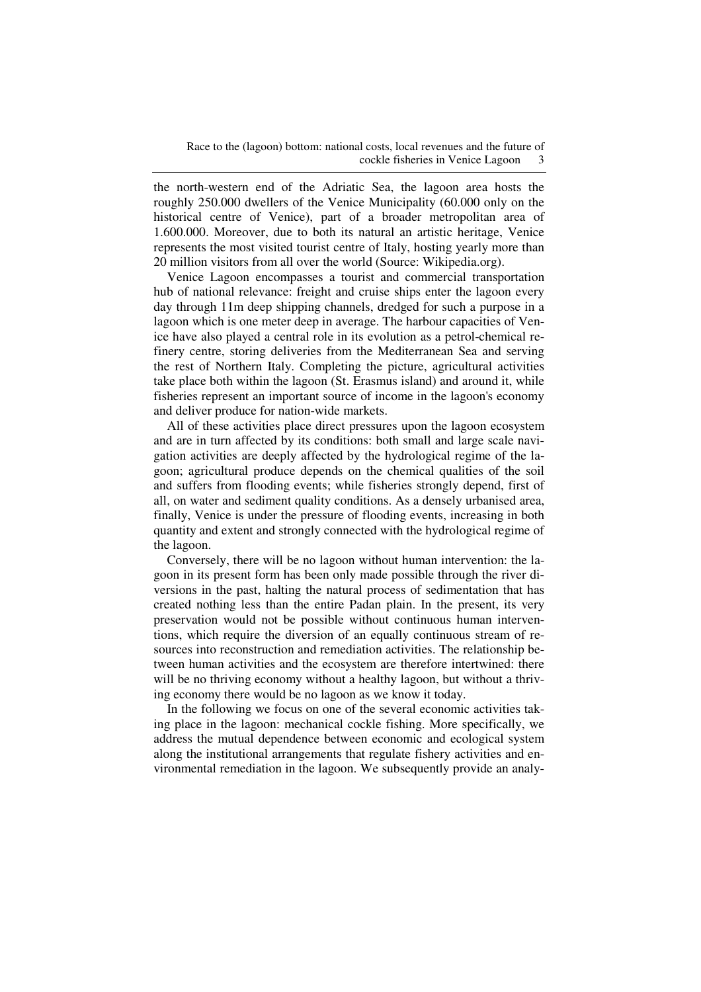the north-western end of the Adriatic Sea, the lagoon area hosts the roughly 250.000 dwellers of the Venice Municipality (60.000 only on the historical centre of Venice), part of a broader metropolitan area of 1.600.000. Moreover, due to both its natural an artistic heritage, Venice represents the most visited tourist centre of Italy, hosting yearly more than 20 million visitors from all over the world (Source: Wikipedia.org).

Venice Lagoon encompasses a tourist and commercial transportation hub of national relevance: freight and cruise ships enter the lagoon every day through 11m deep shipping channels, dredged for such a purpose in a lagoon which is one meter deep in average. The harbour capacities of Venice have also played a central role in its evolution as a petrol-chemical refinery centre, storing deliveries from the Mediterranean Sea and serving the rest of Northern Italy. Completing the picture, agricultural activities take place both within the lagoon (St. Erasmus island) and around it, while fisheries represent an important source of income in the lagoon's economy and deliver produce for nation-wide markets.

All of these activities place direct pressures upon the lagoon ecosystem and are in turn affected by its conditions: both small and large scale navigation activities are deeply affected by the hydrological regime of the lagoon; agricultural produce depends on the chemical qualities of the soil and suffers from flooding events; while fisheries strongly depend, first of all, on water and sediment quality conditions. As a densely urbanised area, finally, Venice is under the pressure of flooding events, increasing in both quantity and extent and strongly connected with the hydrological regime of the lagoon.

Conversely, there will be no lagoon without human intervention: the lagoon in its present form has been only made possible through the river diversions in the past, halting the natural process of sedimentation that has created nothing less than the entire Padan plain. In the present, its very preservation would not be possible without continuous human interventions, which require the diversion of an equally continuous stream of resources into reconstruction and remediation activities. The relationship between human activities and the ecosystem are therefore intertwined: there will be no thriving economy without a healthy lagoon, but without a thriving economy there would be no lagoon as we know it today.

In the following we focus on one of the several economic activities taking place in the lagoon: mechanical cockle fishing. More specifically, we address the mutual dependence between economic and ecological system along the institutional arrangements that regulate fishery activities and environmental remediation in the lagoon. We subsequently provide an analy-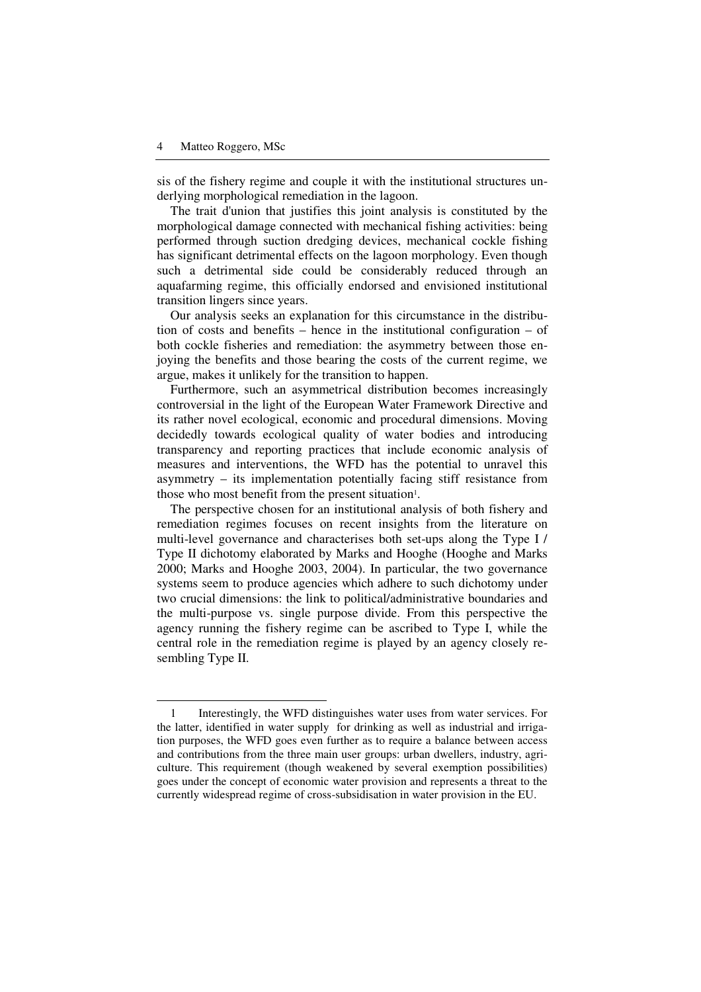$\overline{a}$ 

sis of the fishery regime and couple it with the institutional structures underlying morphological remediation in the lagoon.

The trait d'union that justifies this joint analysis is constituted by the morphological damage connected with mechanical fishing activities: being performed through suction dredging devices, mechanical cockle fishing has significant detrimental effects on the lagoon morphology. Even though such a detrimental side could be considerably reduced through an aquafarming regime, this officially endorsed and envisioned institutional transition lingers since years.

Our analysis seeks an explanation for this circumstance in the distribution of costs and benefits – hence in the institutional configuration – of both cockle fisheries and remediation: the asymmetry between those enjoying the benefits and those bearing the costs of the current regime, we argue, makes it unlikely for the transition to happen.

Furthermore, such an asymmetrical distribution becomes increasingly controversial in the light of the European Water Framework Directive and its rather novel ecological, economic and procedural dimensions. Moving decidedly towards ecological quality of water bodies and introducing transparency and reporting practices that include economic analysis of measures and interventions, the WFD has the potential to unravel this asymmetry – its implementation potentially facing stiff resistance from those who most benefit from the present situation<sup>1</sup>.

The perspective chosen for an institutional analysis of both fishery and remediation regimes focuses on recent insights from the literature on multi-level governance and characterises both set-ups along the Type I / Type II dichotomy elaborated by Marks and Hooghe (Hooghe and Marks 2000; Marks and Hooghe 2003, 2004). In particular, the two governance systems seem to produce agencies which adhere to such dichotomy under two crucial dimensions: the link to political/administrative boundaries and the multi-purpose vs. single purpose divide. From this perspective the agency running the fishery regime can be ascribed to Type I, while the central role in the remediation regime is played by an agency closely resembling Type II.

<sup>1</sup> Interestingly, the WFD distinguishes water uses from water services. For the latter, identified in water supply for drinking as well as industrial and irrigation purposes, the WFD goes even further as to require a balance between access and contributions from the three main user groups: urban dwellers, industry, agriculture. This requirement (though weakened by several exemption possibilities) goes under the concept of economic water provision and represents a threat to the currently widespread regime of cross-subsidisation in water provision in the EU.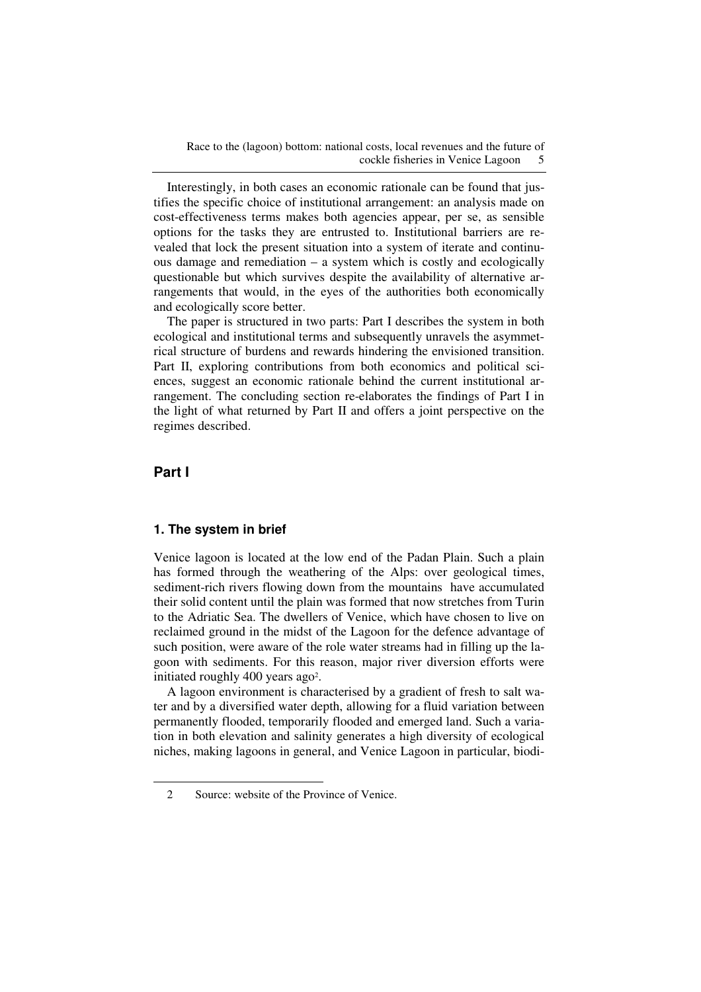Race to the (lagoon) bottom: national costs, local revenues and the future of cockle fisheries in Venice Lagoon 5

Interestingly, in both cases an economic rationale can be found that justifies the specific choice of institutional arrangement: an analysis made on cost-effectiveness terms makes both agencies appear, per se, as sensible options for the tasks they are entrusted to. Institutional barriers are revealed that lock the present situation into a system of iterate and continuous damage and remediation – a system which is costly and ecologically questionable but which survives despite the availability of alternative arrangements that would, in the eyes of the authorities both economically and ecologically score better.

The paper is structured in two parts: Part I describes the system in both ecological and institutional terms and subsequently unravels the asymmetrical structure of burdens and rewards hindering the envisioned transition. Part II, exploring contributions from both economics and political sciences, suggest an economic rationale behind the current institutional arrangement. The concluding section re-elaborates the findings of Part I in the light of what returned by Part II and offers a joint perspective on the regimes described.

# **Part I**

 $\overline{a}$ 

#### **1. The system in brief**

Venice lagoon is located at the low end of the Padan Plain. Such a plain has formed through the weathering of the Alps: over geological times, sediment-rich rivers flowing down from the mountains have accumulated their solid content until the plain was formed that now stretches from Turin to the Adriatic Sea. The dwellers of Venice, which have chosen to live on reclaimed ground in the midst of the Lagoon for the defence advantage of such position, were aware of the role water streams had in filling up the lagoon with sediments. For this reason, major river diversion efforts were initiated roughly 400 years ago<sup>2</sup>.

A lagoon environment is characterised by a gradient of fresh to salt water and by a diversified water depth, allowing for a fluid variation between permanently flooded, temporarily flooded and emerged land. Such a variation in both elevation and salinity generates a high diversity of ecological niches, making lagoons in general, and Venice Lagoon in particular, biodi-

<sup>2</sup> Source: website of the Province of Venice.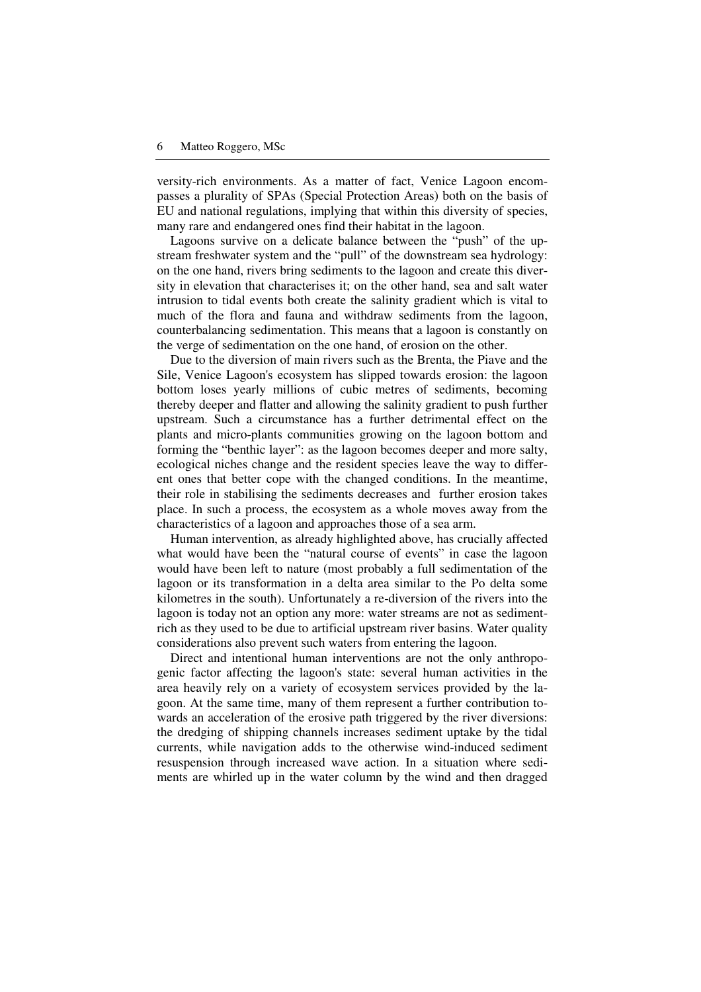versity-rich environments. As a matter of fact, Venice Lagoon encompasses a plurality of SPAs (Special Protection Areas) both on the basis of EU and national regulations, implying that within this diversity of species, many rare and endangered ones find their habitat in the lagoon.

Lagoons survive on a delicate balance between the "push" of the upstream freshwater system and the "pull" of the downstream sea hydrology: on the one hand, rivers bring sediments to the lagoon and create this diversity in elevation that characterises it; on the other hand, sea and salt water intrusion to tidal events both create the salinity gradient which is vital to much of the flora and fauna and withdraw sediments from the lagoon, counterbalancing sedimentation. This means that a lagoon is constantly on the verge of sedimentation on the one hand, of erosion on the other.

Due to the diversion of main rivers such as the Brenta, the Piave and the Sile, Venice Lagoon's ecosystem has slipped towards erosion: the lagoon bottom loses yearly millions of cubic metres of sediments, becoming thereby deeper and flatter and allowing the salinity gradient to push further upstream. Such a circumstance has a further detrimental effect on the plants and micro-plants communities growing on the lagoon bottom and forming the "benthic layer": as the lagoon becomes deeper and more salty, ecological niches change and the resident species leave the way to different ones that better cope with the changed conditions. In the meantime, their role in stabilising the sediments decreases and further erosion takes place. In such a process, the ecosystem as a whole moves away from the characteristics of a lagoon and approaches those of a sea arm.

Human intervention, as already highlighted above, has crucially affected what would have been the "natural course of events" in case the lagoon would have been left to nature (most probably a full sedimentation of the lagoon or its transformation in a delta area similar to the Po delta some kilometres in the south). Unfortunately a re-diversion of the rivers into the lagoon is today not an option any more: water streams are not as sedimentrich as they used to be due to artificial upstream river basins. Water quality considerations also prevent such waters from entering the lagoon.

Direct and intentional human interventions are not the only anthropogenic factor affecting the lagoon's state: several human activities in the area heavily rely on a variety of ecosystem services provided by the lagoon. At the same time, many of them represent a further contribution towards an acceleration of the erosive path triggered by the river diversions: the dredging of shipping channels increases sediment uptake by the tidal currents, while navigation adds to the otherwise wind-induced sediment resuspension through increased wave action. In a situation where sediments are whirled up in the water column by the wind and then dragged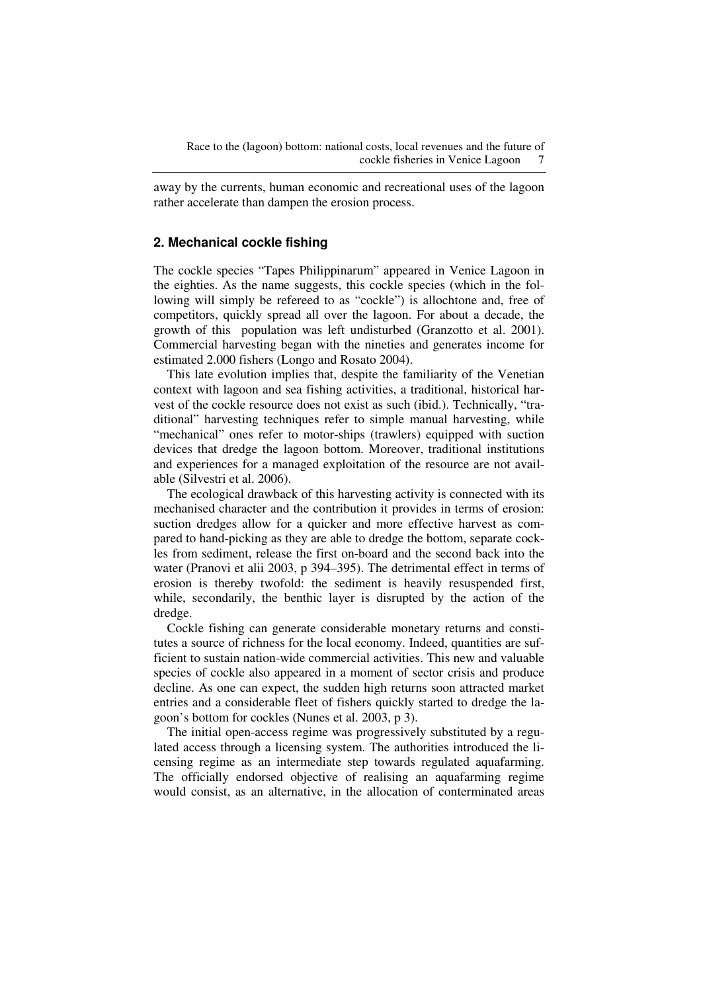away by the currents, human economic and recreational uses of the lagoon rather accelerate than dampen the erosion process.

## **2. Mechanical cockle fishing**

The cockle species "Tapes Philippinarum" appeared in Venice Lagoon in the eighties. As the name suggests, this cockle species (which in the following will simply be refereed to as "cockle") is allochtone and, free of competitors, quickly spread all over the lagoon. For about a decade, the growth of this population was left undisturbed (Granzotto et al. 2001). Commercial harvesting began with the nineties and generates income for estimated 2.000 fishers (Longo and Rosato 2004).

This late evolution implies that, despite the familiarity of the Venetian context with lagoon and sea fishing activities, a traditional, historical harvest of the cockle resource does not exist as such (ibid.). Technically, "traditional" harvesting techniques refer to simple manual harvesting, while "mechanical" ones refer to motor-ships (trawlers) equipped with suction devices that dredge the lagoon bottom. Moreover, traditional institutions and experiences for a managed exploitation of the resource are not available (Silvestri et al. 2006).

The ecological drawback of this harvesting activity is connected with its mechanised character and the contribution it provides in terms of erosion: suction dredges allow for a quicker and more effective harvest as compared to hand-picking as they are able to dredge the bottom, separate cockles from sediment, release the first on-board and the second back into the water (Pranovi et alii 2003, p 394–395). The detrimental effect in terms of erosion is thereby twofold: the sediment is heavily resuspended first, while, secondarily, the benthic layer is disrupted by the action of the dredge.

Cockle fishing can generate considerable monetary returns and constitutes a source of richness for the local economy. Indeed, quantities are sufficient to sustain nation-wide commercial activities. This new and valuable species of cockle also appeared in a moment of sector crisis and produce decline. As one can expect, the sudden high returns soon attracted market entries and a considerable fleet of fishers quickly started to dredge the lagoon's bottom for cockles (Nunes et al. 2003, p 3).

The initial open-access regime was progressively substituted by a regulated access through a licensing system. The authorities introduced the licensing regime as an intermediate step towards regulated aquafarming. The officially endorsed objective of realising an aquafarming regime would consist, as an alternative, in the allocation of conterminated areas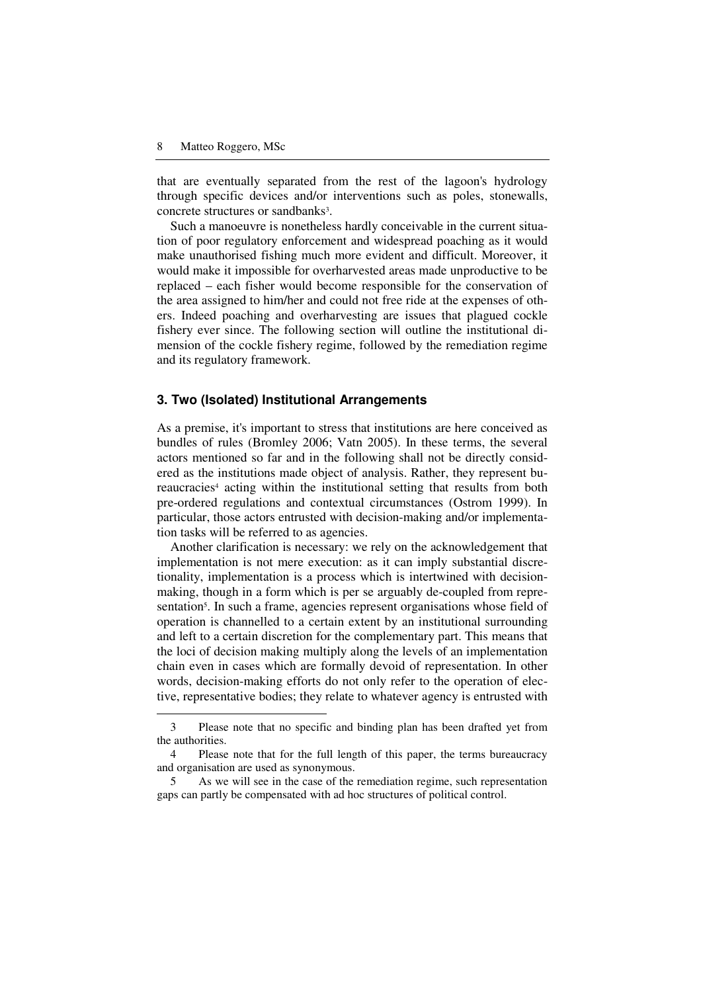$\overline{a}$ 

that are eventually separated from the rest of the lagoon's hydrology through specific devices and/or interventions such as poles, stonewalls, concrete structures or sandbanks<sup>3</sup>.

Such a manoeuvre is nonetheless hardly conceivable in the current situation of poor regulatory enforcement and widespread poaching as it would make unauthorised fishing much more evident and difficult. Moreover, it would make it impossible for overharvested areas made unproductive to be replaced – each fisher would become responsible for the conservation of the area assigned to him/her and could not free ride at the expenses of others. Indeed poaching and overharvesting are issues that plagued cockle fishery ever since. The following section will outline the institutional dimension of the cockle fishery regime, followed by the remediation regime and its regulatory framework.

#### **3. Two (Isolated) Institutional Arrangements**

As a premise, it's important to stress that institutions are here conceived as bundles of rules (Bromley 2006; Vatn 2005). In these terms, the several actors mentioned so far and in the following shall not be directly considered as the institutions made object of analysis. Rather, they represent bureaucracies<sup>4</sup> acting within the institutional setting that results from both pre-ordered regulations and contextual circumstances (Ostrom 1999). In particular, those actors entrusted with decision-making and/or implementation tasks will be referred to as agencies.

Another clarification is necessary: we rely on the acknowledgement that implementation is not mere execution: as it can imply substantial discretionality, implementation is a process which is intertwined with decisionmaking, though in a form which is per se arguably de-coupled from representation<sup>5</sup>. In such a frame, agencies represent organisations whose field of operation is channelled to a certain extent by an institutional surrounding and left to a certain discretion for the complementary part. This means that the loci of decision making multiply along the levels of an implementation chain even in cases which are formally devoid of representation. In other words, decision-making efforts do not only refer to the operation of elective, representative bodies; they relate to whatever agency is entrusted with

<sup>3</sup> Please note that no specific and binding plan has been drafted yet from the authorities.

<sup>4</sup> Please note that for the full length of this paper, the terms bureaucracy and organisation are used as synonymous.

<sup>5</sup> As we will see in the case of the remediation regime, such representation gaps can partly be compensated with ad hoc structures of political control.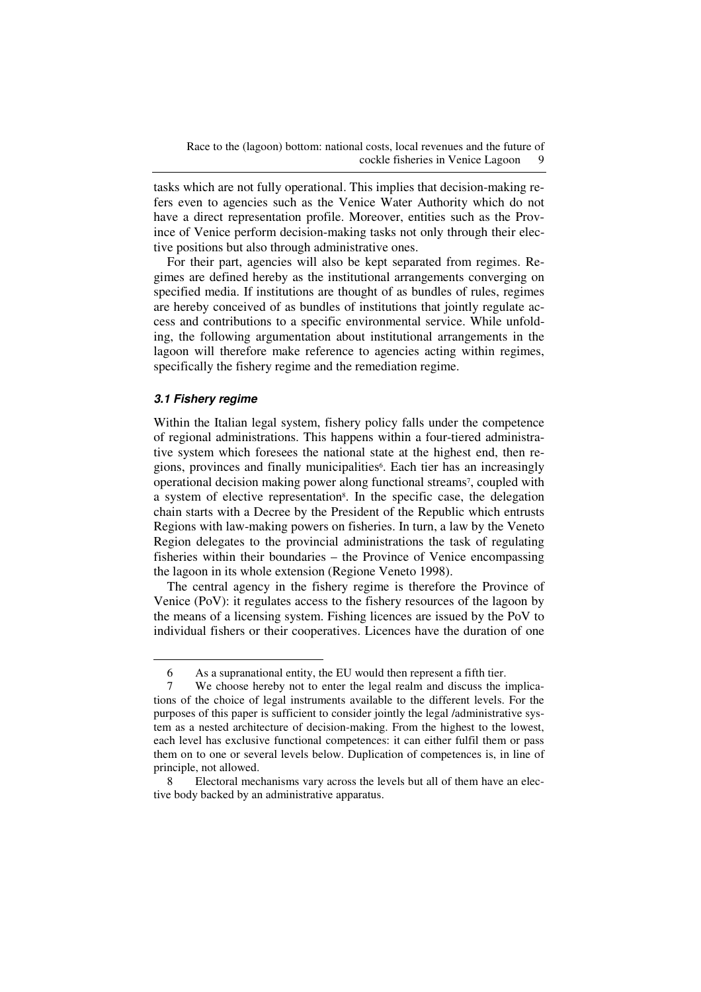tasks which are not fully operational. This implies that decision-making refers even to agencies such as the Venice Water Authority which do not have a direct representation profile. Moreover, entities such as the Province of Venice perform decision-making tasks not only through their elective positions but also through administrative ones.

For their part, agencies will also be kept separated from regimes. Regimes are defined hereby as the institutional arrangements converging on specified media. If institutions are thought of as bundles of rules, regimes are hereby conceived of as bundles of institutions that jointly regulate access and contributions to a specific environmental service. While unfolding, the following argumentation about institutional arrangements in the lagoon will therefore make reference to agencies acting within regimes, specifically the fishery regime and the remediation regime.

#### **3.1 Fishery regime**

 $\overline{a}$ 

Within the Italian legal system, fishery policy falls under the competence of regional administrations. This happens within a four-tiered administrative system which foresees the national state at the highest end, then regions, provinces and finally municipalities<sup>6</sup>. Each tier has an increasingly operational decision making power along functional streams<sup>7</sup>, coupled with a system of elective representation<sup>8</sup>. In the specific case, the delegation chain starts with a Decree by the President of the Republic which entrusts Regions with law-making powers on fisheries. In turn, a law by the Veneto Region delegates to the provincial administrations the task of regulating fisheries within their boundaries – the Province of Venice encompassing the lagoon in its whole extension (Regione Veneto 1998).

The central agency in the fishery regime is therefore the Province of Venice (PoV): it regulates access to the fishery resources of the lagoon by the means of a licensing system. Fishing licences are issued by the PoV to individual fishers or their cooperatives. Licences have the duration of one

<sup>6</sup> As a supranational entity, the EU would then represent a fifth tier.

<sup>7</sup> We choose hereby not to enter the legal realm and discuss the implications of the choice of legal instruments available to the different levels. For the purposes of this paper is sufficient to consider jointly the legal /administrative system as a nested architecture of decision-making. From the highest to the lowest, each level has exclusive functional competences: it can either fulfil them or pass them on to one or several levels below. Duplication of competences is, in line of principle, not allowed.

<sup>8</sup> Electoral mechanisms vary across the levels but all of them have an elective body backed by an administrative apparatus.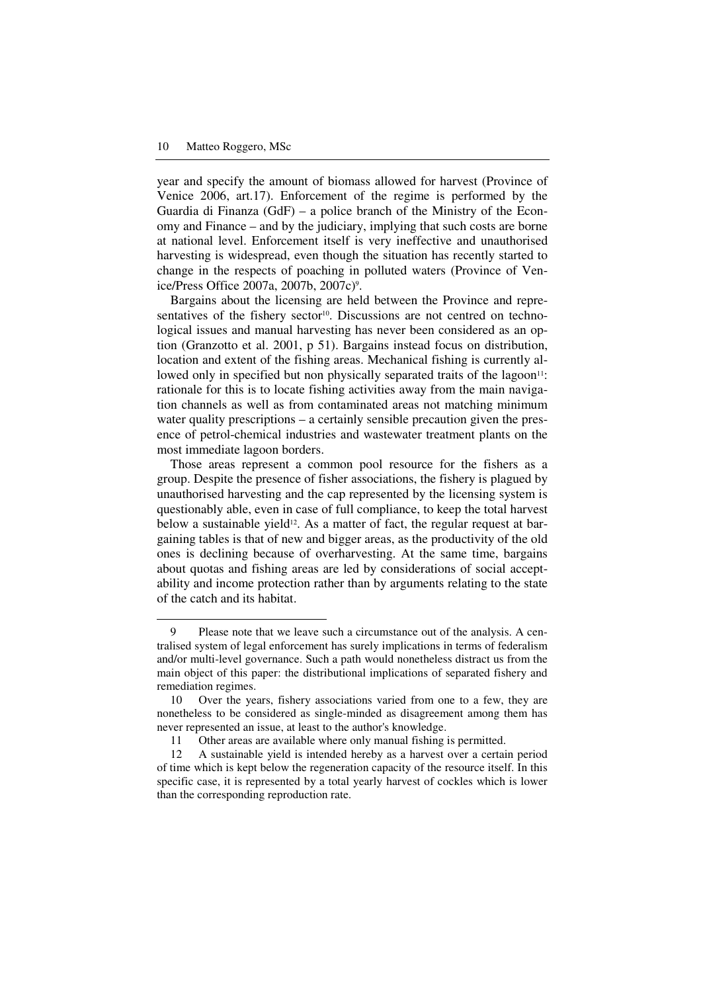$\overline{a}$ 

year and specify the amount of biomass allowed for harvest (Province of Venice 2006, art.17). Enforcement of the regime is performed by the Guardia di Finanza (GdF) – a police branch of the Ministry of the Economy and Finance – and by the judiciary, implying that such costs are borne at national level. Enforcement itself is very ineffective and unauthorised harvesting is widespread, even though the situation has recently started to change in the respects of poaching in polluted waters (Province of Venice/Press Office 2007a, 2007b, 2007c)<sup>9</sup> .

Bargains about the licensing are held between the Province and representatives of the fishery sector<sup>10</sup>. Discussions are not centred on technological issues and manual harvesting has never been considered as an option (Granzotto et al. 2001, p 51). Bargains instead focus on distribution, location and extent of the fishing areas. Mechanical fishing is currently allowed only in specified but non physically separated traits of the lagoon<sup>11</sup>: rationale for this is to locate fishing activities away from the main navigation channels as well as from contaminated areas not matching minimum water quality prescriptions – a certainly sensible precaution given the presence of petrol-chemical industries and wastewater treatment plants on the most immediate lagoon borders.

Those areas represent a common pool resource for the fishers as a group. Despite the presence of fisher associations, the fishery is plagued by unauthorised harvesting and the cap represented by the licensing system is questionably able, even in case of full compliance, to keep the total harvest below a sustainable yield<sup>12</sup>. As a matter of fact, the regular request at bargaining tables is that of new and bigger areas, as the productivity of the old ones is declining because of overharvesting. At the same time, bargains about quotas and fishing areas are led by considerations of social acceptability and income protection rather than by arguments relating to the state of the catch and its habitat.

<sup>9</sup> Please note that we leave such a circumstance out of the analysis. A centralised system of legal enforcement has surely implications in terms of federalism and/or multi-level governance. Such a path would nonetheless distract us from the main object of this paper: the distributional implications of separated fishery and remediation regimes.

<sup>10</sup> Over the years, fishery associations varied from one to a few, they are nonetheless to be considered as single-minded as disagreement among them has never represented an issue, at least to the author's knowledge.

<sup>11</sup> Other areas are available where only manual fishing is permitted.

<sup>12</sup> A sustainable yield is intended hereby as a harvest over a certain period of time which is kept below the regeneration capacity of the resource itself. In this specific case, it is represented by a total yearly harvest of cockles which is lower than the corresponding reproduction rate.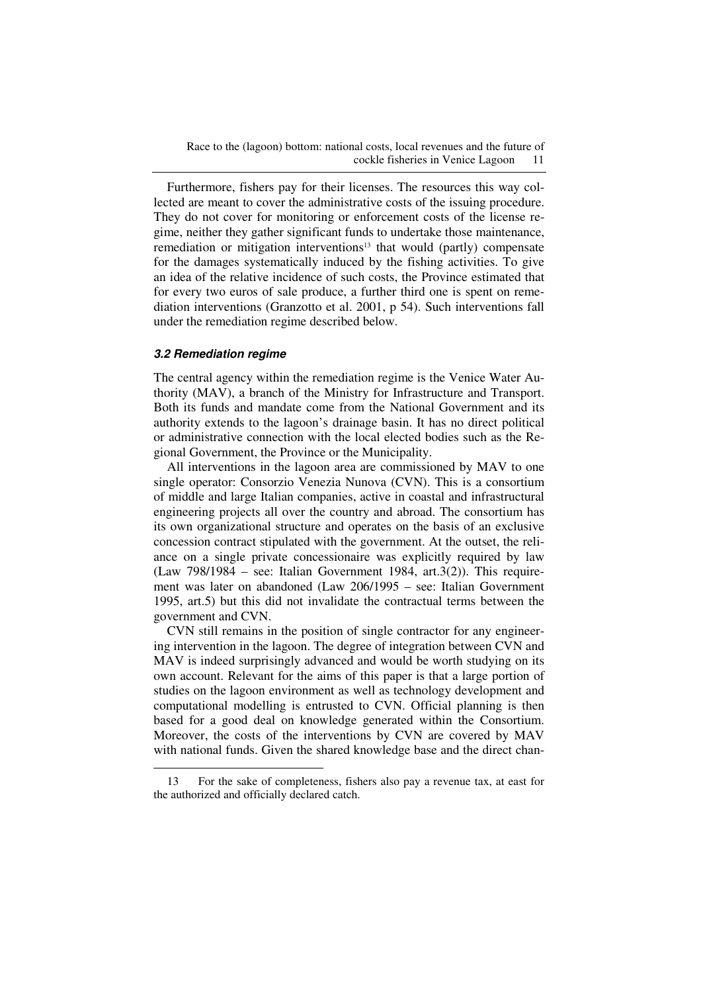Race to the (lagoon) bottom: national costs, local revenues and the future of cockle fisheries in Venice Lagoon 11

Furthermore, fishers pay for their licenses. The resources this way collected are meant to cover the administrative costs of the issuing procedure. They do not cover for monitoring or enforcement costs of the license regime, neither they gather significant funds to undertake those maintenance, remediation or mitigation interventions<sup>13</sup> that would (partly) compensate for the damages systematically induced by the fishing activities. To give an idea of the relative incidence of such costs, the Province estimated that for every two euros of sale produce, a further third one is spent on remediation interventions (Granzotto et al. 2001, p 54). Such interventions fall under the remediation regime described below.

#### **3.2 Remediation regime**

 $\overline{a}$ 

The central agency within the remediation regime is the Venice Water Authority (MAV), a branch of the Ministry for Infrastructure and Transport. Both its funds and mandate come from the National Government and its authority extends to the lagoon's drainage basin. It has no direct political or administrative connection with the local elected bodies such as the Regional Government, the Province or the Municipality.

All interventions in the lagoon area are commissioned by MAV to one single operator: Consorzio Venezia Nunova (CVN). This is a consortium of middle and large Italian companies, active in coastal and infrastructural engineering projects all over the country and abroad. The consortium has its own organizational structure and operates on the basis of an exclusive concession contract stipulated with the government. At the outset, the reliance on a single private concessionaire was explicitly required by law  $(Law 798/1984 - see: Italian Government 1984, art.3(2)). This require$ ment was later on abandoned (Law 206/1995 – see: Italian Government 1995, art.5) but this did not invalidate the contractual terms between the government and CVN.

CVN still remains in the position of single contractor for any engineering intervention in the lagoon. The degree of integration between CVN and MAV is indeed surprisingly advanced and would be worth studying on its own account. Relevant for the aims of this paper is that a large portion of studies on the lagoon environment as well as technology development and computational modelling is entrusted to CVN. Official planning is then based for a good deal on knowledge generated within the Consortium. Moreover, the costs of the interventions by CVN are covered by MAV with national funds. Given the shared knowledge base and the direct chan-

<sup>13</sup> For the sake of completeness, fishers also pay a revenue tax, at east for the authorized and officially declared catch.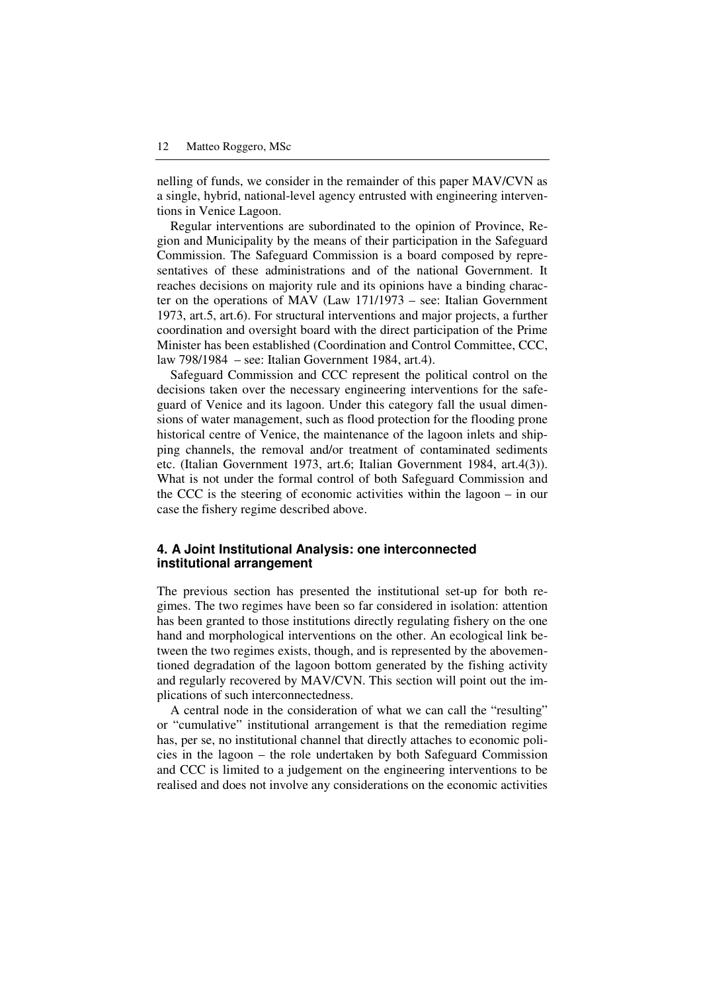nelling of funds, we consider in the remainder of this paper MAV/CVN as a single, hybrid, national-level agency entrusted with engineering interventions in Venice Lagoon.

Regular interventions are subordinated to the opinion of Province, Region and Municipality by the means of their participation in the Safeguard Commission. The Safeguard Commission is a board composed by representatives of these administrations and of the national Government. It reaches decisions on majority rule and its opinions have a binding character on the operations of MAV (Law 171/1973 – see: Italian Government 1973, art.5, art.6). For structural interventions and major projects, a further coordination and oversight board with the direct participation of the Prime Minister has been established (Coordination and Control Committee, CCC, law 798/1984 – see: Italian Government 1984, art.4).

Safeguard Commission and CCC represent the political control on the decisions taken over the necessary engineering interventions for the safeguard of Venice and its lagoon. Under this category fall the usual dimensions of water management, such as flood protection for the flooding prone historical centre of Venice, the maintenance of the lagoon inlets and shipping channels, the removal and/or treatment of contaminated sediments etc. (Italian Government 1973, art.6; Italian Government 1984, art.4(3)). What is not under the formal control of both Safeguard Commission and the CCC is the steering of economic activities within the lagoon – in our case the fishery regime described above.

### **4. A Joint Institutional Analysis: one interconnected institutional arrangement**

The previous section has presented the institutional set-up for both regimes. The two regimes have been so far considered in isolation: attention has been granted to those institutions directly regulating fishery on the one hand and morphological interventions on the other. An ecological link between the two regimes exists, though, and is represented by the abovementioned degradation of the lagoon bottom generated by the fishing activity and regularly recovered by MAV/CVN. This section will point out the implications of such interconnectedness.

A central node in the consideration of what we can call the "resulting" or "cumulative" institutional arrangement is that the remediation regime has, per se, no institutional channel that directly attaches to economic policies in the lagoon – the role undertaken by both Safeguard Commission and CCC is limited to a judgement on the engineering interventions to be realised and does not involve any considerations on the economic activities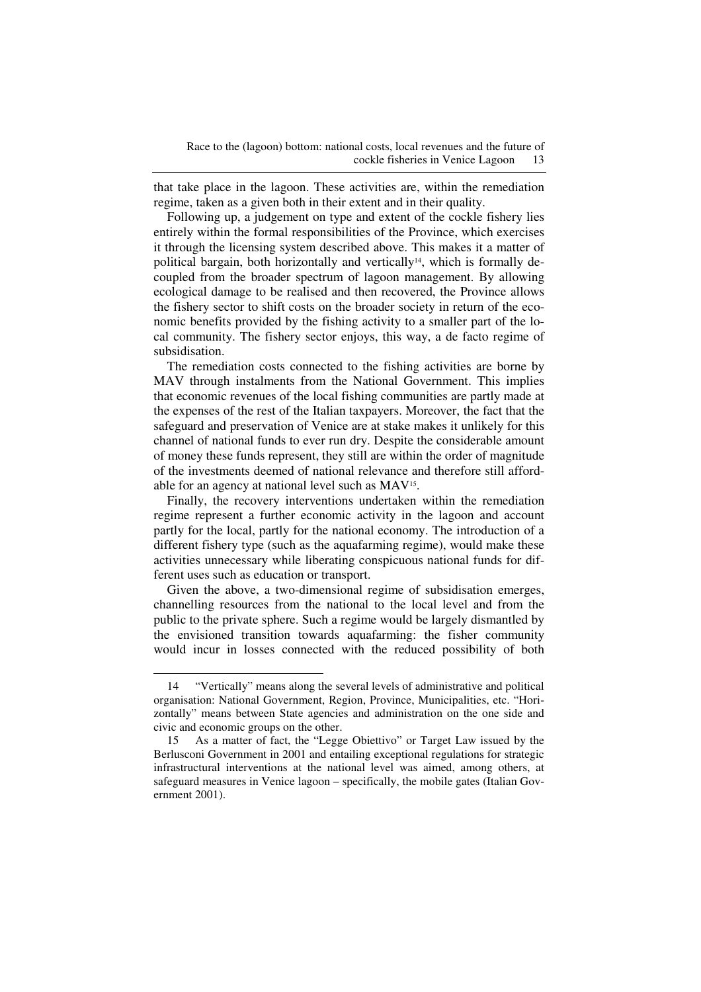that take place in the lagoon. These activities are, within the remediation regime, taken as a given both in their extent and in their quality.

Following up, a judgement on type and extent of the cockle fishery lies entirely within the formal responsibilities of the Province, which exercises it through the licensing system described above. This makes it a matter of political bargain, both horizontally and vertically<sup>14</sup>, which is formally decoupled from the broader spectrum of lagoon management. By allowing ecological damage to be realised and then recovered, the Province allows the fishery sector to shift costs on the broader society in return of the economic benefits provided by the fishing activity to a smaller part of the local community. The fishery sector enjoys, this way, a de facto regime of subsidisation.

The remediation costs connected to the fishing activities are borne by MAV through instalments from the National Government. This implies that economic revenues of the local fishing communities are partly made at the expenses of the rest of the Italian taxpayers. Moreover, the fact that the safeguard and preservation of Venice are at stake makes it unlikely for this channel of national funds to ever run dry. Despite the considerable amount of money these funds represent, they still are within the order of magnitude of the investments deemed of national relevance and therefore still affordable for an agency at national level such as MAV<sup>15</sup>.

Finally, the recovery interventions undertaken within the remediation regime represent a further economic activity in the lagoon and account partly for the local, partly for the national economy. The introduction of a different fishery type (such as the aquafarming regime), would make these activities unnecessary while liberating conspicuous national funds for different uses such as education or transport.

Given the above, a two-dimensional regime of subsidisation emerges, channelling resources from the national to the local level and from the public to the private sphere. Such a regime would be largely dismantled by the envisioned transition towards aquafarming: the fisher community would incur in losses connected with the reduced possibility of both

 $\overline{a}$ 

<sup>14 &</sup>quot;Vertically" means along the several levels of administrative and political organisation: National Government, Region, Province, Municipalities, etc. "Horizontally" means between State agencies and administration on the one side and civic and economic groups on the other.

<sup>15</sup> As a matter of fact, the "Legge Obiettivo" or Target Law issued by the Berlusconi Government in 2001 and entailing exceptional regulations for strategic infrastructural interventions at the national level was aimed, among others, at safeguard measures in Venice lagoon – specifically, the mobile gates (Italian Government 2001).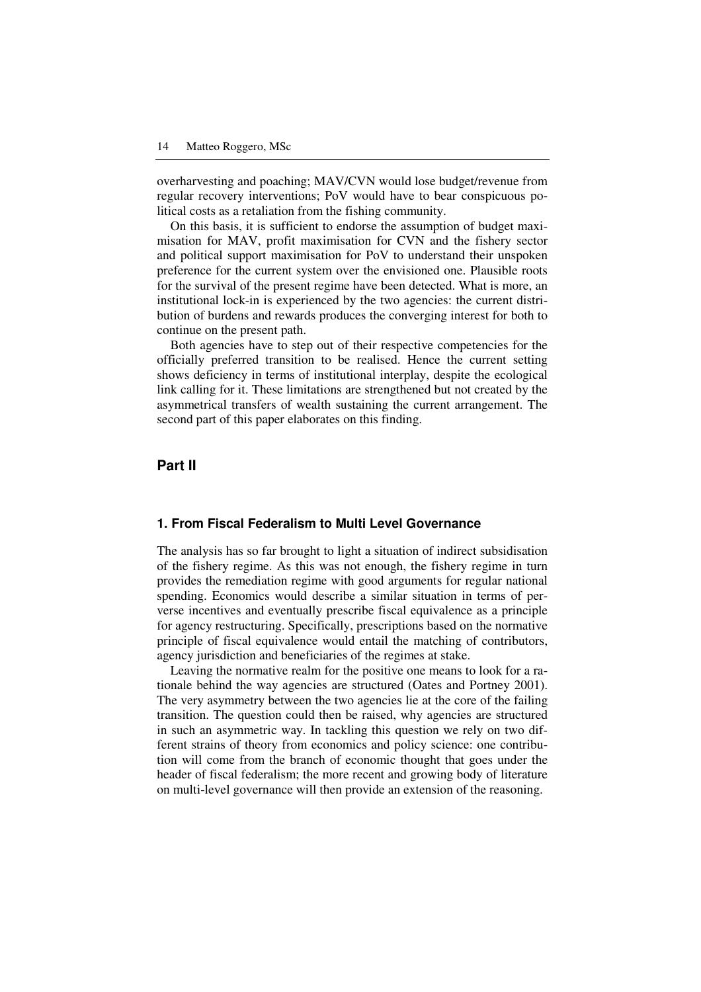overharvesting and poaching; MAV/CVN would lose budget/revenue from regular recovery interventions; PoV would have to bear conspicuous political costs as a retaliation from the fishing community.

On this basis, it is sufficient to endorse the assumption of budget maximisation for MAV, profit maximisation for CVN and the fishery sector and political support maximisation for PoV to understand their unspoken preference for the current system over the envisioned one. Plausible roots for the survival of the present regime have been detected. What is more, an institutional lock-in is experienced by the two agencies: the current distribution of burdens and rewards produces the converging interest for both to continue on the present path.

Both agencies have to step out of their respective competencies for the officially preferred transition to be realised. Hence the current setting shows deficiency in terms of institutional interplay, despite the ecological link calling for it. These limitations are strengthened but not created by the asymmetrical transfers of wealth sustaining the current arrangement. The second part of this paper elaborates on this finding.

#### **Part II**

#### **1. From Fiscal Federalism to Multi Level Governance**

The analysis has so far brought to light a situation of indirect subsidisation of the fishery regime. As this was not enough, the fishery regime in turn provides the remediation regime with good arguments for regular national spending. Economics would describe a similar situation in terms of perverse incentives and eventually prescribe fiscal equivalence as a principle for agency restructuring. Specifically, prescriptions based on the normative principle of fiscal equivalence would entail the matching of contributors, agency jurisdiction and beneficiaries of the regimes at stake.

Leaving the normative realm for the positive one means to look for a rationale behind the way agencies are structured (Oates and Portney 2001). The very asymmetry between the two agencies lie at the core of the failing transition. The question could then be raised, why agencies are structured in such an asymmetric way. In tackling this question we rely on two different strains of theory from economics and policy science: one contribution will come from the branch of economic thought that goes under the header of fiscal federalism; the more recent and growing body of literature on multi-level governance will then provide an extension of the reasoning.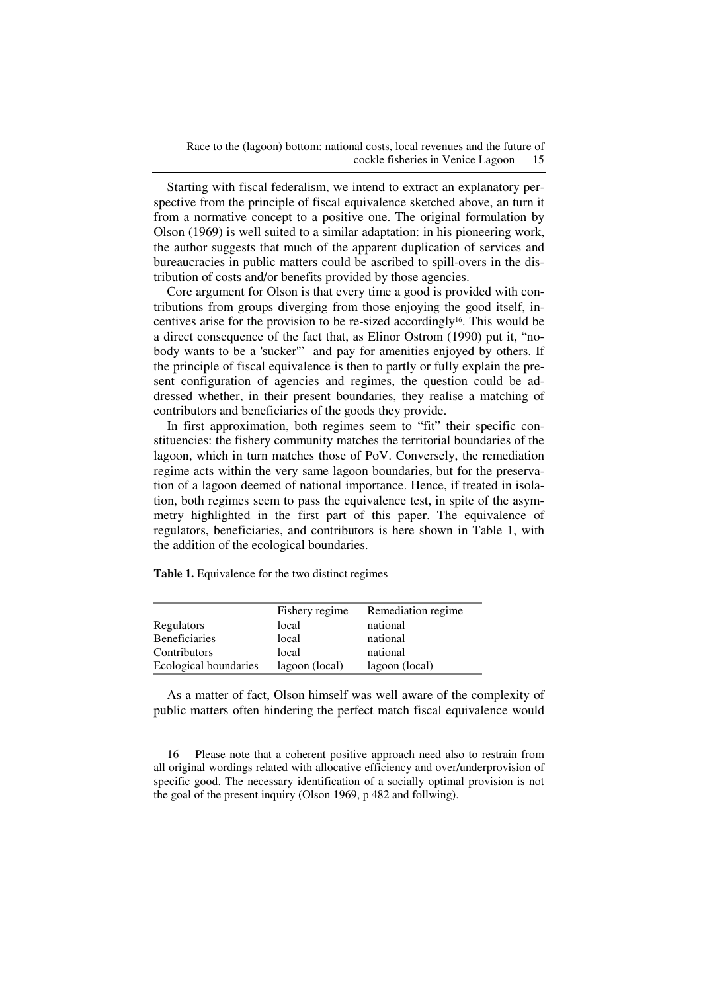Starting with fiscal federalism, we intend to extract an explanatory perspective from the principle of fiscal equivalence sketched above, an turn it from a normative concept to a positive one. The original formulation by Olson (1969) is well suited to a similar adaptation: in his pioneering work, the author suggests that much of the apparent duplication of services and bureaucracies in public matters could be ascribed to spill-overs in the distribution of costs and/or benefits provided by those agencies.

Core argument for Olson is that every time a good is provided with contributions from groups diverging from those enjoying the good itself, incentives arise for the provision to be re-sized accordingly16. This would be a direct consequence of the fact that, as Elinor Ostrom (1990) put it, "nobody wants to be a 'sucker'" and pay for amenities enjoyed by others. If the principle of fiscal equivalence is then to partly or fully explain the present configuration of agencies and regimes, the question could be addressed whether, in their present boundaries, they realise a matching of contributors and beneficiaries of the goods they provide.

In first approximation, both regimes seem to "fit" their specific constituencies: the fishery community matches the territorial boundaries of the lagoon, which in turn matches those of PoV. Conversely, the remediation regime acts within the very same lagoon boundaries, but for the preservation of a lagoon deemed of national importance. Hence, if treated in isolation, both regimes seem to pass the equivalence test, in spite of the asymmetry highlighted in the first part of this paper. The equivalence of regulators, beneficiaries, and contributors is here shown in Table 1, with the addition of the ecological boundaries.

**Table 1.** Equivalence for the two distinct regimes

 $\overline{a}$ 

|                       | Fishery regime | Remediation regime |
|-----------------------|----------------|--------------------|
| Regulators            | local          | national           |
| <b>Beneficiaries</b>  | local          | national           |
| Contributors          | local          | national           |
| Ecological boundaries | lagoon (local) | lagoon (local)     |

As a matter of fact, Olson himself was well aware of the complexity of public matters often hindering the perfect match fiscal equivalence would

<sup>16</sup> Please note that a coherent positive approach need also to restrain from all original wordings related with allocative efficiency and over/underprovision of specific good. The necessary identification of a socially optimal provision is not the goal of the present inquiry (Olson 1969, p 482 and follwing).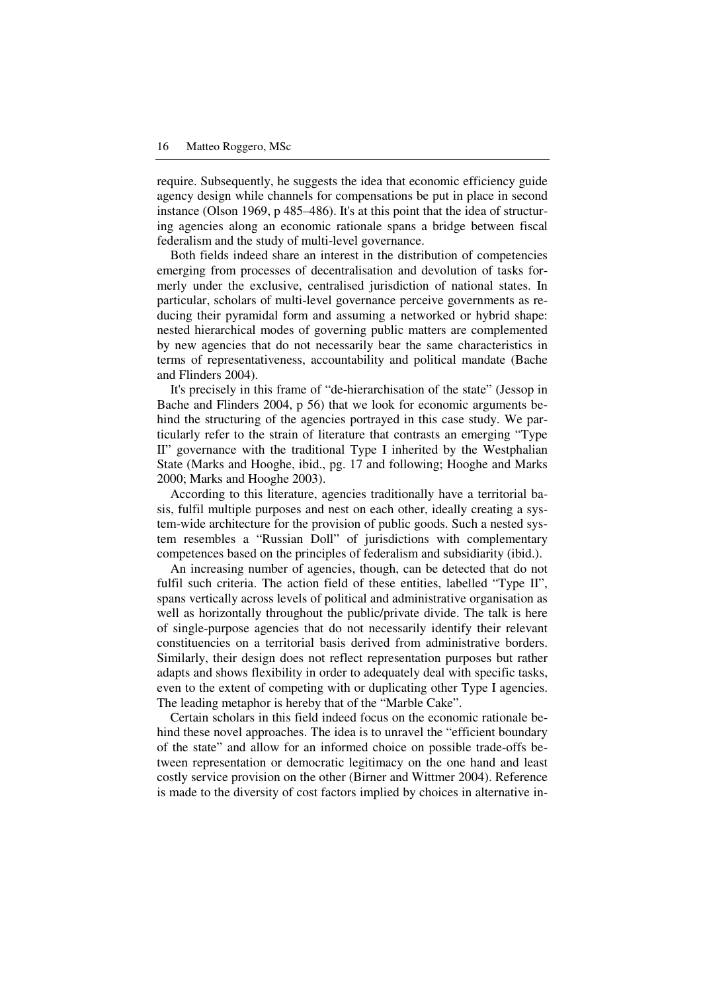require. Subsequently, he suggests the idea that economic efficiency guide agency design while channels for compensations be put in place in second instance (Olson 1969, p 485–486). It's at this point that the idea of structuring agencies along an economic rationale spans a bridge between fiscal federalism and the study of multi-level governance.

Both fields indeed share an interest in the distribution of competencies emerging from processes of decentralisation and devolution of tasks formerly under the exclusive, centralised jurisdiction of national states. In particular, scholars of multi-level governance perceive governments as reducing their pyramidal form and assuming a networked or hybrid shape: nested hierarchical modes of governing public matters are complemented by new agencies that do not necessarily bear the same characteristics in terms of representativeness, accountability and political mandate (Bache and Flinders 2004).

It's precisely in this frame of "de-hierarchisation of the state" (Jessop in Bache and Flinders 2004, p 56) that we look for economic arguments behind the structuring of the agencies portrayed in this case study. We particularly refer to the strain of literature that contrasts an emerging "Type II" governance with the traditional Type I inherited by the Westphalian State (Marks and Hooghe, ibid., pg. 17 and following; Hooghe and Marks 2000; Marks and Hooghe 2003).

According to this literature, agencies traditionally have a territorial basis, fulfil multiple purposes and nest on each other, ideally creating a system-wide architecture for the provision of public goods. Such a nested system resembles a "Russian Doll" of jurisdictions with complementary competences based on the principles of federalism and subsidiarity (ibid.).

An increasing number of agencies, though, can be detected that do not fulfil such criteria. The action field of these entities, labelled "Type II", spans vertically across levels of political and administrative organisation as well as horizontally throughout the public/private divide. The talk is here of single-purpose agencies that do not necessarily identify their relevant constituencies on a territorial basis derived from administrative borders. Similarly, their design does not reflect representation purposes but rather adapts and shows flexibility in order to adequately deal with specific tasks, even to the extent of competing with or duplicating other Type I agencies. The leading metaphor is hereby that of the "Marble Cake".

Certain scholars in this field indeed focus on the economic rationale behind these novel approaches. The idea is to unravel the "efficient boundary of the state" and allow for an informed choice on possible trade-offs between representation or democratic legitimacy on the one hand and least costly service provision on the other (Birner and Wittmer 2004). Reference is made to the diversity of cost factors implied by choices in alternative in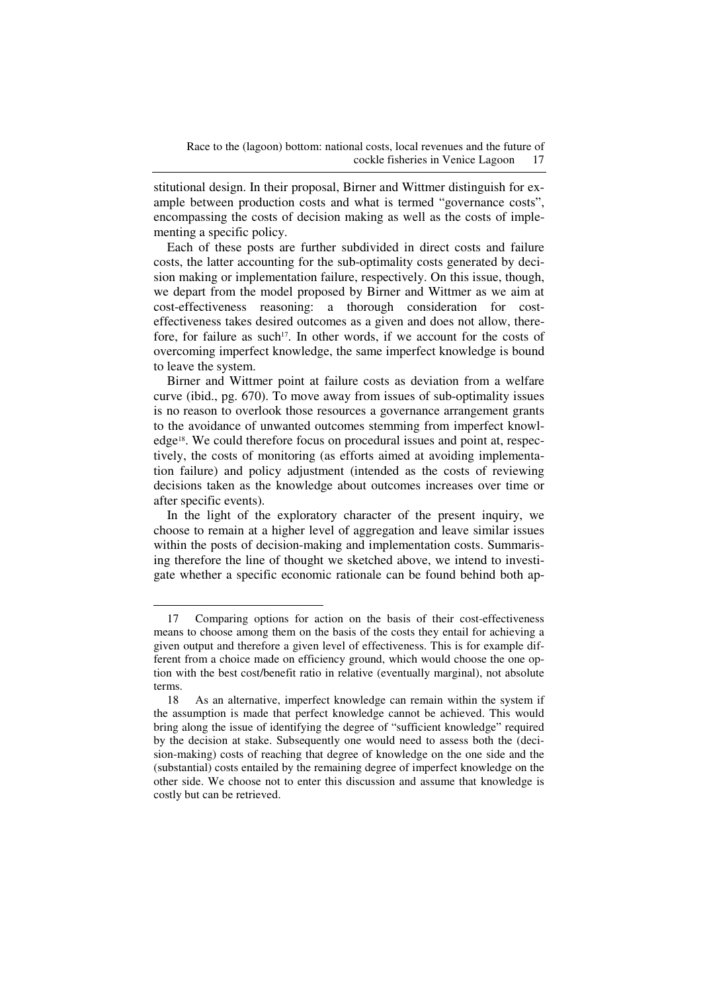stitutional design. In their proposal, Birner and Wittmer distinguish for example between production costs and what is termed "governance costs", encompassing the costs of decision making as well as the costs of implementing a specific policy.

Each of these posts are further subdivided in direct costs and failure costs, the latter accounting for the sub-optimality costs generated by decision making or implementation failure, respectively. On this issue, though, we depart from the model proposed by Birner and Wittmer as we aim at cost-effectiveness reasoning: a thorough consideration for costeffectiveness takes desired outcomes as a given and does not allow, therefore, for failure as such<sup>17</sup>. In other words, if we account for the costs of overcoming imperfect knowledge, the same imperfect knowledge is bound to leave the system.

Birner and Wittmer point at failure costs as deviation from a welfare curve (ibid., pg. 670). To move away from issues of sub-optimality issues is no reason to overlook those resources a governance arrangement grants to the avoidance of unwanted outcomes stemming from imperfect knowledge18. We could therefore focus on procedural issues and point at, respectively, the costs of monitoring (as efforts aimed at avoiding implementation failure) and policy adjustment (intended as the costs of reviewing decisions taken as the knowledge about outcomes increases over time or after specific events).

In the light of the exploratory character of the present inquiry, we choose to remain at a higher level of aggregation and leave similar issues within the posts of decision-making and implementation costs. Summarising therefore the line of thought we sketched above, we intend to investigate whether a specific economic rationale can be found behind both ap-

 $\overline{a}$ 

<sup>17</sup> Comparing options for action on the basis of their cost-effectiveness means to choose among them on the basis of the costs they entail for achieving a given output and therefore a given level of effectiveness. This is for example different from a choice made on efficiency ground, which would choose the one option with the best cost/benefit ratio in relative (eventually marginal), not absolute terms.

<sup>18</sup> As an alternative, imperfect knowledge can remain within the system if the assumption is made that perfect knowledge cannot be achieved. This would bring along the issue of identifying the degree of "sufficient knowledge" required by the decision at stake. Subsequently one would need to assess both the (decision-making) costs of reaching that degree of knowledge on the one side and the (substantial) costs entailed by the remaining degree of imperfect knowledge on the other side. We choose not to enter this discussion and assume that knowledge is costly but can be retrieved.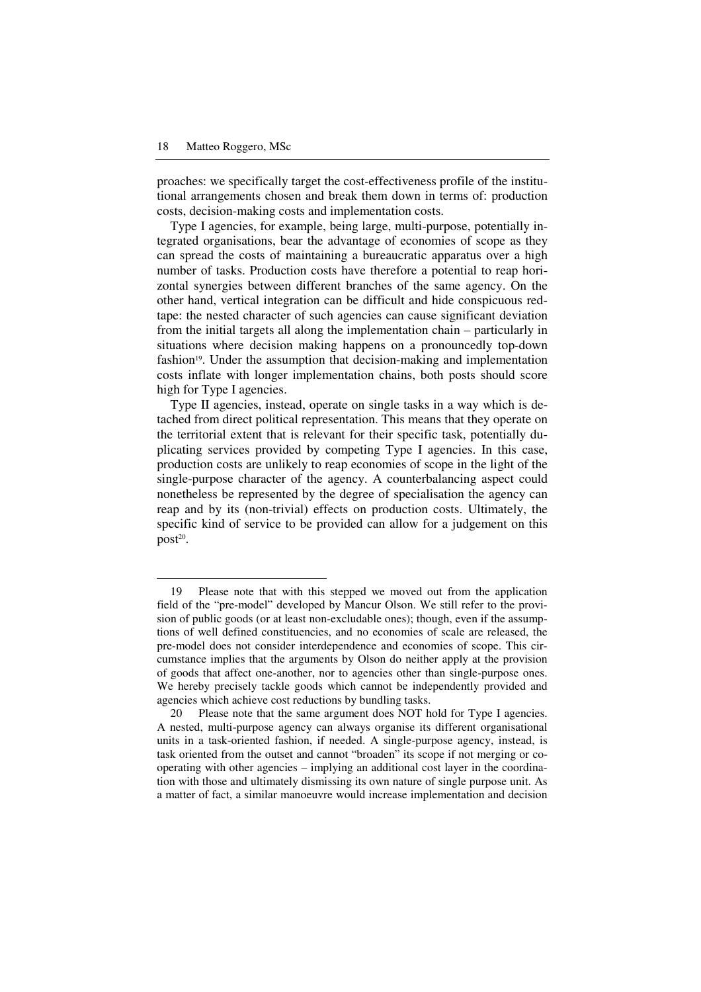$\overline{a}$ 

proaches: we specifically target the cost-effectiveness profile of the institutional arrangements chosen and break them down in terms of: production costs, decision-making costs and implementation costs.

Type I agencies, for example, being large, multi-purpose, potentially integrated organisations, bear the advantage of economies of scope as they can spread the costs of maintaining a bureaucratic apparatus over a high number of tasks. Production costs have therefore a potential to reap horizontal synergies between different branches of the same agency. On the other hand, vertical integration can be difficult and hide conspicuous redtape: the nested character of such agencies can cause significant deviation from the initial targets all along the implementation chain – particularly in situations where decision making happens on a pronouncedly top-down fashion19. Under the assumption that decision-making and implementation costs inflate with longer implementation chains, both posts should score high for Type I agencies.

Type II agencies, instead, operate on single tasks in a way which is detached from direct political representation. This means that they operate on the territorial extent that is relevant for their specific task, potentially duplicating services provided by competing Type I agencies. In this case, production costs are unlikely to reap economies of scope in the light of the single-purpose character of the agency. A counterbalancing aspect could nonetheless be represented by the degree of specialisation the agency can reap and by its (non-trivial) effects on production costs. Ultimately, the specific kind of service to be provided can allow for a judgement on this post<sup>20</sup>.

<sup>19</sup> Please note that with this stepped we moved out from the application field of the "pre-model" developed by Mancur Olson. We still refer to the provision of public goods (or at least non-excludable ones); though, even if the assumptions of well defined constituencies, and no economies of scale are released, the pre-model does not consider interdependence and economies of scope. This circumstance implies that the arguments by Olson do neither apply at the provision of goods that affect one-another, nor to agencies other than single-purpose ones. We hereby precisely tackle goods which cannot be independently provided and agencies which achieve cost reductions by bundling tasks.

<sup>20</sup> Please note that the same argument does NOT hold for Type I agencies. A nested, multi-purpose agency can always organise its different organisational units in a task-oriented fashion, if needed. A single-purpose agency, instead, is task oriented from the outset and cannot "broaden" its scope if not merging or cooperating with other agencies – implying an additional cost layer in the coordination with those and ultimately dismissing its own nature of single purpose unit. As a matter of fact, a similar manoeuvre would increase implementation and decision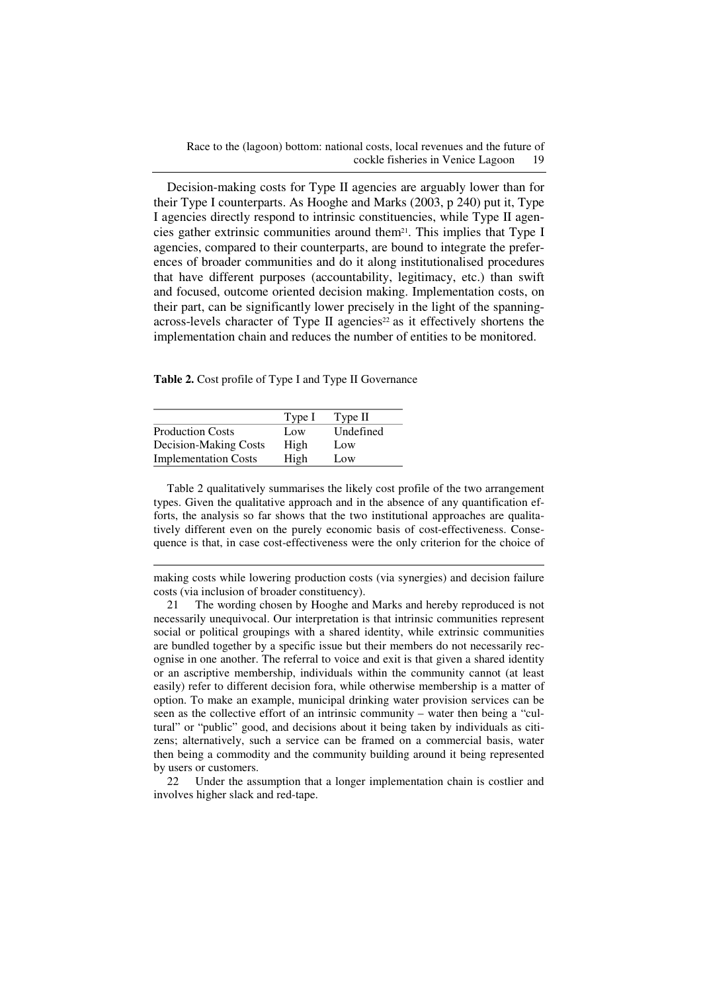Race to the (lagoon) bottom: national costs, local revenues and the future of cockle fisheries in Venice Lagoon 19

Decision-making costs for Type II agencies are arguably lower than for their Type I counterparts. As Hooghe and Marks (2003, p 240) put it, Type I agencies directly respond to intrinsic constituencies, while Type II agencies gather extrinsic communities around them21. This implies that Type I agencies, compared to their counterparts, are bound to integrate the preferences of broader communities and do it along institutionalised procedures that have different purposes (accountability, legitimacy, etc.) than swift and focused, outcome oriented decision making. Implementation costs, on their part, can be significantly lower precisely in the light of the spanningacross-levels character of Type II agencies<sup>22</sup> as it effectively shortens the implementation chain and reduces the number of entities to be monitored.

**Table 2.** Cost profile of Type I and Type II Governance

|                             | Type I | Type II   |
|-----------------------------|--------|-----------|
| <b>Production Costs</b>     | Low    | Undefined |
| Decision-Making Costs       | High   | Low       |
| <b>Implementation Costs</b> | High   | Low       |

-

Table 2 qualitatively summarises the likely cost profile of the two arrangement types. Given the qualitative approach and in the absence of any quantification efforts, the analysis so far shows that the two institutional approaches are qualitatively different even on the purely economic basis of cost-effectiveness. Consequence is that, in case cost-effectiveness were the only criterion for the choice of

making costs while lowering production costs (via synergies) and decision failure costs (via inclusion of broader constituency).

21 The wording chosen by Hooghe and Marks and hereby reproduced is not necessarily unequivocal. Our interpretation is that intrinsic communities represent social or political groupings with a shared identity, while extrinsic communities are bundled together by a specific issue but their members do not necessarily recognise in one another. The referral to voice and exit is that given a shared identity or an ascriptive membership, individuals within the community cannot (at least easily) refer to different decision fora, while otherwise membership is a matter of option. To make an example, municipal drinking water provision services can be seen as the collective effort of an intrinsic community – water then being a "cultural" or "public" good, and decisions about it being taken by individuals as citizens; alternatively, such a service can be framed on a commercial basis, water then being a commodity and the community building around it being represented by users or customers.

22 Under the assumption that a longer implementation chain is costlier and involves higher slack and red-tape.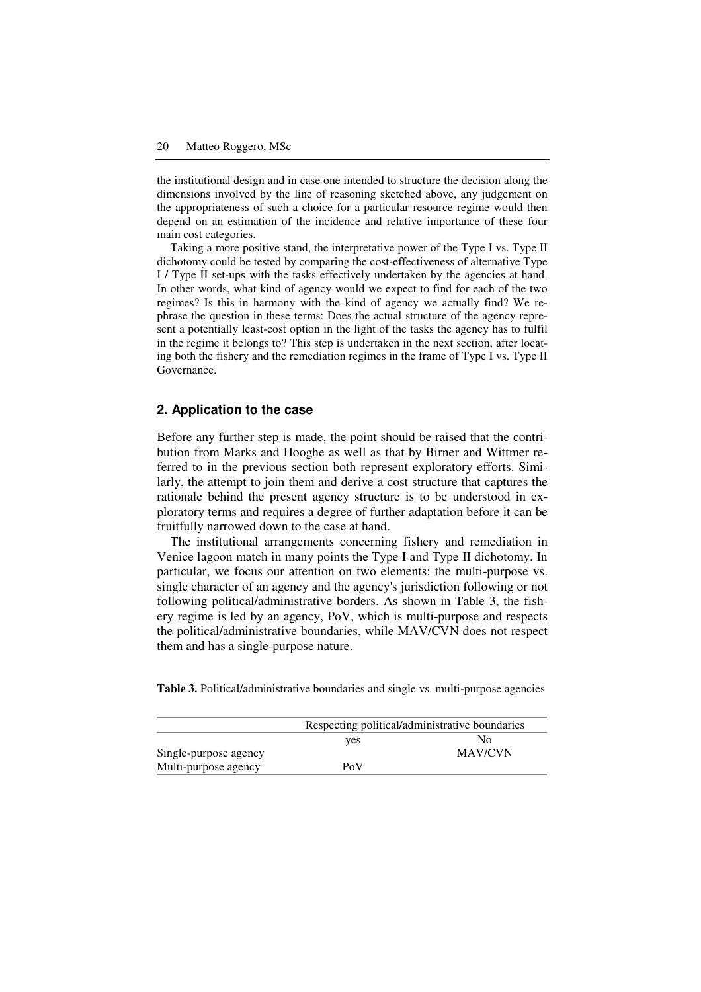the institutional design and in case one intended to structure the decision along the dimensions involved by the line of reasoning sketched above, any judgement on the appropriateness of such a choice for a particular resource regime would then depend on an estimation of the incidence and relative importance of these four main cost categories.

Taking a more positive stand, the interpretative power of the Type I vs. Type II dichotomy could be tested by comparing the cost-effectiveness of alternative Type I / Type II set-ups with the tasks effectively undertaken by the agencies at hand. In other words, what kind of agency would we expect to find for each of the two regimes? Is this in harmony with the kind of agency we actually find? We rephrase the question in these terms: Does the actual structure of the agency represent a potentially least-cost option in the light of the tasks the agency has to fulfil in the regime it belongs to? This step is undertaken in the next section, after locating both the fishery and the remediation regimes in the frame of Type I vs. Type II Governance.

#### **2. Application to the case**

Before any further step is made, the point should be raised that the contribution from Marks and Hooghe as well as that by Birner and Wittmer referred to in the previous section both represent exploratory efforts. Similarly, the attempt to join them and derive a cost structure that captures the rationale behind the present agency structure is to be understood in exploratory terms and requires a degree of further adaptation before it can be fruitfully narrowed down to the case at hand.

The institutional arrangements concerning fishery and remediation in Venice lagoon match in many points the Type I and Type II dichotomy. In particular, we focus our attention on two elements: the multi-purpose vs. single character of an agency and the agency's jurisdiction following or not following political/administrative borders. As shown in Table 3, the fishery regime is led by an agency, PoV, which is multi-purpose and respects the political/administrative boundaries, while MAV/CVN does not respect them and has a single-purpose nature.

|                       | Respecting political/administrative boundaries |         |  |
|-----------------------|------------------------------------------------|---------|--|
|                       |                                                |         |  |
|                       | ves                                            | Nο      |  |
| Single-purpose agency |                                                | MAV/CVN |  |
| Multi-purpose agency  | PoV                                            |         |  |

**Table 3.** Political/administrative boundaries and single vs. multi-purpose agencies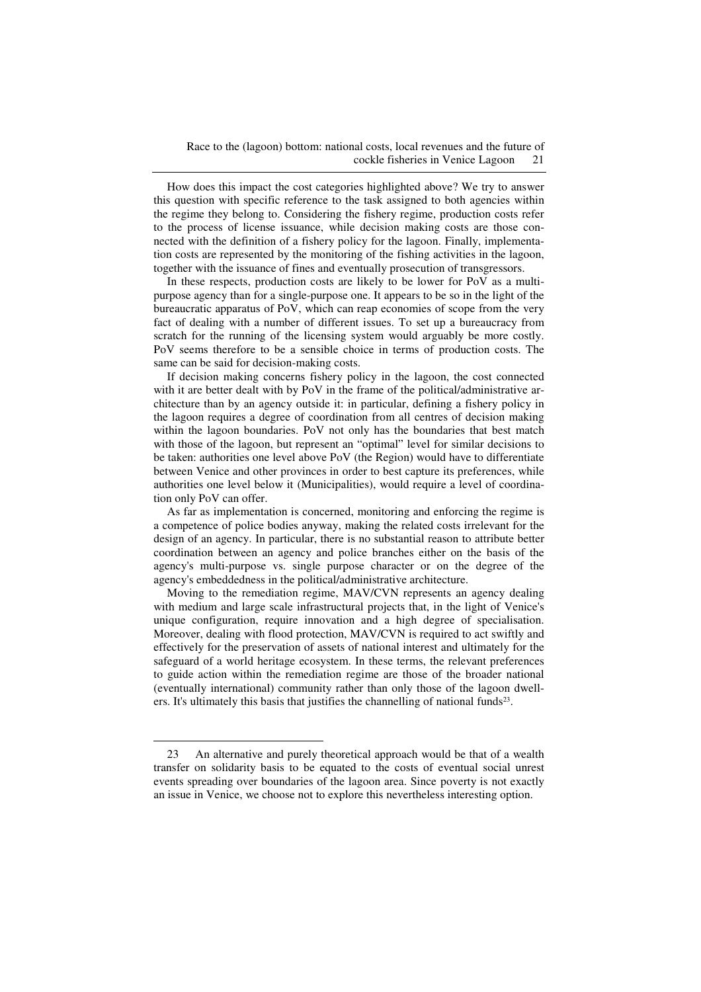How does this impact the cost categories highlighted above? We try to answer this question with specific reference to the task assigned to both agencies within the regime they belong to. Considering the fishery regime, production costs refer to the process of license issuance, while decision making costs are those connected with the definition of a fishery policy for the lagoon. Finally, implementation costs are represented by the monitoring of the fishing activities in the lagoon, together with the issuance of fines and eventually prosecution of transgressors.

In these respects, production costs are likely to be lower for PoV as a multipurpose agency than for a single-purpose one. It appears to be so in the light of the bureaucratic apparatus of PoV, which can reap economies of scope from the very fact of dealing with a number of different issues. To set up a bureaucracy from scratch for the running of the licensing system would arguably be more costly. PoV seems therefore to be a sensible choice in terms of production costs. The same can be said for decision-making costs.

If decision making concerns fishery policy in the lagoon, the cost connected with it are better dealt with by PoV in the frame of the political/administrative architecture than by an agency outside it: in particular, defining a fishery policy in the lagoon requires a degree of coordination from all centres of decision making within the lagoon boundaries. PoV not only has the boundaries that best match with those of the lagoon, but represent an "optimal" level for similar decisions to be taken: authorities one level above PoV (the Region) would have to differentiate between Venice and other provinces in order to best capture its preferences, while authorities one level below it (Municipalities), would require a level of coordination only PoV can offer.

As far as implementation is concerned, monitoring and enforcing the regime is a competence of police bodies anyway, making the related costs irrelevant for the design of an agency. In particular, there is no substantial reason to attribute better coordination between an agency and police branches either on the basis of the agency's multi-purpose vs. single purpose character or on the degree of the agency's embeddedness in the political/administrative architecture.

Moving to the remediation regime, MAV/CVN represents an agency dealing with medium and large scale infrastructural projects that, in the light of Venice's unique configuration, require innovation and a high degree of specialisation. Moreover, dealing with flood protection, MAV/CVN is required to act swiftly and effectively for the preservation of assets of national interest and ultimately for the safeguard of a world heritage ecosystem. In these terms, the relevant preferences to guide action within the remediation regime are those of the broader national (eventually international) community rather than only those of the lagoon dwellers. It's ultimately this basis that justifies the channelling of national funds<sup>23</sup>.

 $\overline{a}$ 

<sup>23</sup> An alternative and purely theoretical approach would be that of a wealth transfer on solidarity basis to be equated to the costs of eventual social unrest events spreading over boundaries of the lagoon area. Since poverty is not exactly an issue in Venice, we choose not to explore this nevertheless interesting option.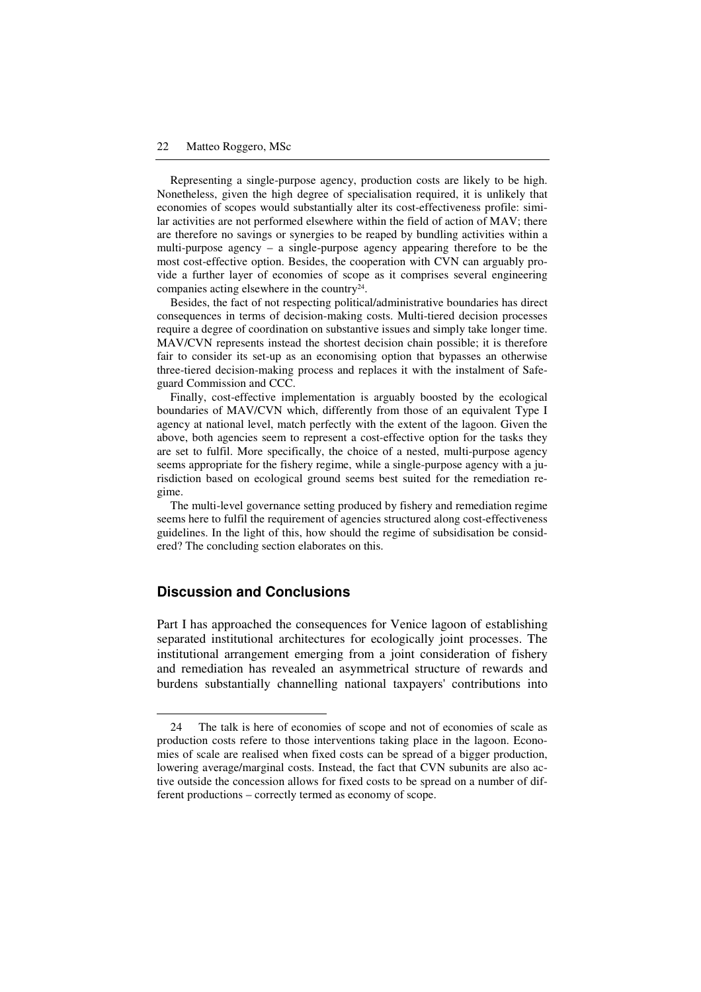Representing a single-purpose agency, production costs are likely to be high. Nonetheless, given the high degree of specialisation required, it is unlikely that economies of scopes would substantially alter its cost-effectiveness profile: similar activities are not performed elsewhere within the field of action of MAV; there are therefore no savings or synergies to be reaped by bundling activities within a multi-purpose agency – a single-purpose agency appearing therefore to be the most cost-effective option. Besides, the cooperation with CVN can arguably provide a further layer of economies of scope as it comprises several engineering companies acting elsewhere in the country $24$ .

Besides, the fact of not respecting political/administrative boundaries has direct consequences in terms of decision-making costs. Multi-tiered decision processes require a degree of coordination on substantive issues and simply take longer time. MAV/CVN represents instead the shortest decision chain possible; it is therefore fair to consider its set-up as an economising option that bypasses an otherwise three-tiered decision-making process and replaces it with the instalment of Safeguard Commission and CCC.

Finally, cost-effective implementation is arguably boosted by the ecological boundaries of MAV/CVN which, differently from those of an equivalent Type I agency at national level, match perfectly with the extent of the lagoon. Given the above, both agencies seem to represent a cost-effective option for the tasks they are set to fulfil. More specifically, the choice of a nested, multi-purpose agency seems appropriate for the fishery regime, while a single-purpose agency with a jurisdiction based on ecological ground seems best suited for the remediation regime.

The multi-level governance setting produced by fishery and remediation regime seems here to fulfil the requirement of agencies structured along cost-effectiveness guidelines. In the light of this, how should the regime of subsidisation be considered? The concluding section elaborates on this.

# **Discussion and Conclusions**

 $\overline{a}$ 

Part I has approached the consequences for Venice lagoon of establishing separated institutional architectures for ecologically joint processes. The institutional arrangement emerging from a joint consideration of fishery and remediation has revealed an asymmetrical structure of rewards and burdens substantially channelling national taxpayers' contributions into

<sup>24</sup> The talk is here of economies of scope and not of economies of scale as production costs refere to those interventions taking place in the lagoon. Economies of scale are realised when fixed costs can be spread of a bigger production, lowering average/marginal costs. Instead, the fact that CVN subunits are also active outside the concession allows for fixed costs to be spread on a number of different productions – correctly termed as economy of scope.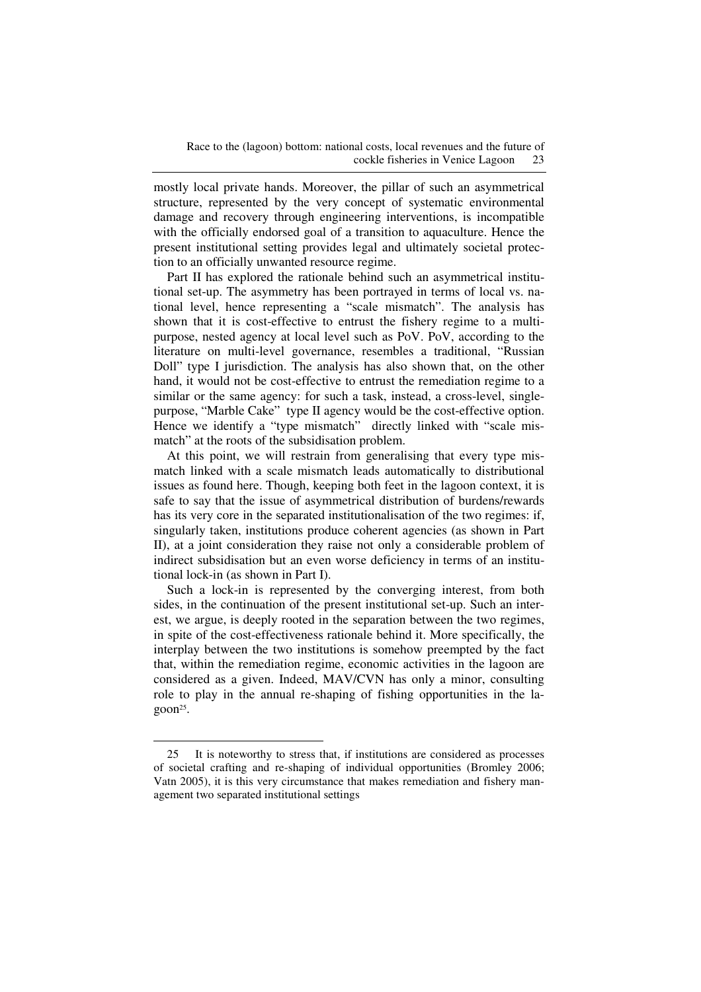mostly local private hands. Moreover, the pillar of such an asymmetrical structure, represented by the very concept of systematic environmental damage and recovery through engineering interventions, is incompatible with the officially endorsed goal of a transition to aquaculture. Hence the present institutional setting provides legal and ultimately societal protection to an officially unwanted resource regime.

Part II has explored the rationale behind such an asymmetrical institutional set-up. The asymmetry has been portrayed in terms of local vs. national level, hence representing a "scale mismatch". The analysis has shown that it is cost-effective to entrust the fishery regime to a multipurpose, nested agency at local level such as PoV. PoV, according to the literature on multi-level governance, resembles a traditional, "Russian Doll" type I jurisdiction. The analysis has also shown that, on the other hand, it would not be cost-effective to entrust the remediation regime to a similar or the same agency: for such a task, instead, a cross-level, singlepurpose, "Marble Cake" type II agency would be the cost-effective option. Hence we identify a "type mismatch" directly linked with "scale mismatch" at the roots of the subsidisation problem.

At this point, we will restrain from generalising that every type mismatch linked with a scale mismatch leads automatically to distributional issues as found here. Though, keeping both feet in the lagoon context, it is safe to say that the issue of asymmetrical distribution of burdens/rewards has its very core in the separated institutionalisation of the two regimes: if, singularly taken, institutions produce coherent agencies (as shown in Part II), at a joint consideration they raise not only a considerable problem of indirect subsidisation but an even worse deficiency in terms of an institutional lock-in (as shown in Part I).

Such a lock-in is represented by the converging interest, from both sides, in the continuation of the present institutional set-up. Such an interest, we argue, is deeply rooted in the separation between the two regimes, in spite of the cost-effectiveness rationale behind it. More specifically, the interplay between the two institutions is somehow preempted by the fact that, within the remediation regime, economic activities in the lagoon are considered as a given. Indeed, MAV/CVN has only a minor, consulting role to play in the annual re-shaping of fishing opportunities in the lagoon<sup>25</sup>.

 $\overline{a}$ 

<sup>25</sup> It is noteworthy to stress that, if institutions are considered as processes of societal crafting and re-shaping of individual opportunities (Bromley 2006; Vatn 2005), it is this very circumstance that makes remediation and fishery management two separated institutional settings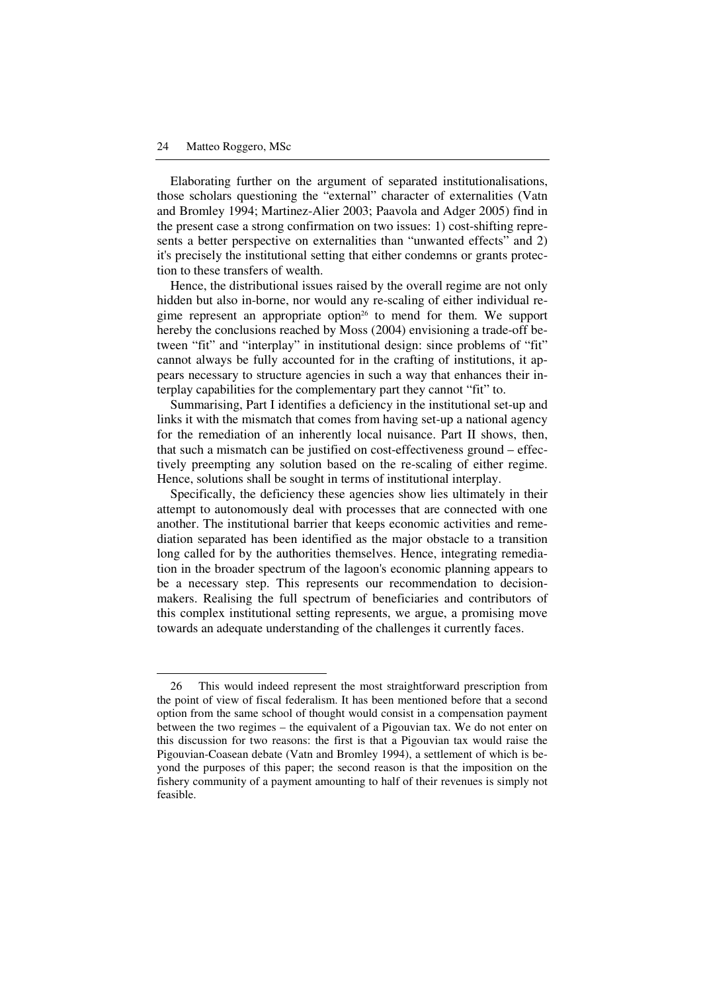$\ddot{\phantom{a}}$ 

Elaborating further on the argument of separated institutionalisations, those scholars questioning the "external" character of externalities (Vatn and Bromley 1994; Martinez-Alier 2003; Paavola and Adger 2005) find in the present case a strong confirmation on two issues: 1) cost-shifting represents a better perspective on externalities than "unwanted effects" and 2) it's precisely the institutional setting that either condemns or grants protection to these transfers of wealth.

Hence, the distributional issues raised by the overall regime are not only hidden but also in-borne, nor would any re-scaling of either individual regime represent an appropriate option<sup>26</sup> to mend for them. We support hereby the conclusions reached by Moss (2004) envisioning a trade-off between "fit" and "interplay" in institutional design: since problems of "fit" cannot always be fully accounted for in the crafting of institutions, it appears necessary to structure agencies in such a way that enhances their interplay capabilities for the complementary part they cannot "fit" to.

Summarising, Part I identifies a deficiency in the institutional set-up and links it with the mismatch that comes from having set-up a national agency for the remediation of an inherently local nuisance. Part II shows, then, that such a mismatch can be justified on cost-effectiveness ground – effectively preempting any solution based on the re-scaling of either regime. Hence, solutions shall be sought in terms of institutional interplay.

Specifically, the deficiency these agencies show lies ultimately in their attempt to autonomously deal with processes that are connected with one another. The institutional barrier that keeps economic activities and remediation separated has been identified as the major obstacle to a transition long called for by the authorities themselves. Hence, integrating remediation in the broader spectrum of the lagoon's economic planning appears to be a necessary step. This represents our recommendation to decisionmakers. Realising the full spectrum of beneficiaries and contributors of this complex institutional setting represents, we argue, a promising move towards an adequate understanding of the challenges it currently faces.

<sup>26</sup> This would indeed represent the most straightforward prescription from the point of view of fiscal federalism. It has been mentioned before that a second option from the same school of thought would consist in a compensation payment between the two regimes – the equivalent of a Pigouvian tax. We do not enter on this discussion for two reasons: the first is that a Pigouvian tax would raise the Pigouvian-Coasean debate (Vatn and Bromley 1994), a settlement of which is beyond the purposes of this paper; the second reason is that the imposition on the fishery community of a payment amounting to half of their revenues is simply not feasible.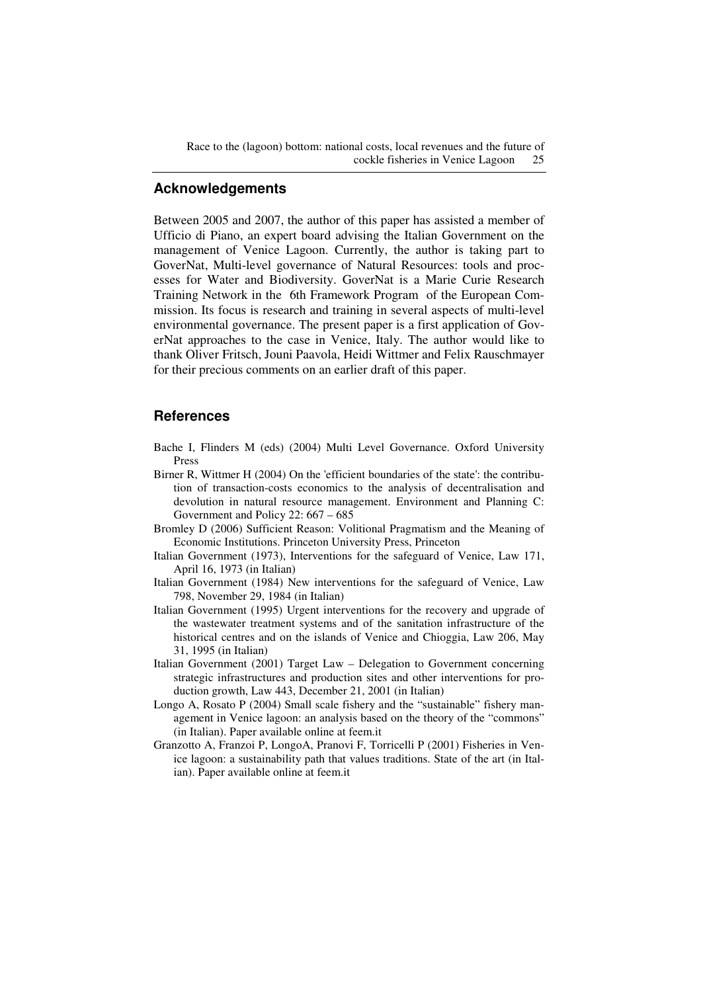Race to the (lagoon) bottom: national costs, local revenues and the future of cockle fisheries in Venice Lagoon 25

# **Acknowledgements**

Between 2005 and 2007, the author of this paper has assisted a member of Ufficio di Piano, an expert board advising the Italian Government on the management of Venice Lagoon. Currently, the author is taking part to GoverNat, Multi-level governance of Natural Resources: tools and processes for Water and Biodiversity. GoverNat is a Marie Curie Research Training Network in the 6th Framework Program of the European Commission. Its focus is research and training in several aspects of multi-level environmental governance. The present paper is a first application of GoverNat approaches to the case in Venice, Italy. The author would like to thank Oliver Fritsch, Jouni Paavola, Heidi Wittmer and Felix Rauschmayer for their precious comments on an earlier draft of this paper.

#### **References**

- Bache I, Flinders M (eds) (2004) Multi Level Governance. Oxford University Press
- Birner R, Wittmer H (2004) On the 'efficient boundaries of the state': the contribution of transaction-costs economics to the analysis of decentralisation and devolution in natural resource management. Environment and Planning C: Government and Policy 22: 667 – 685
- Bromley D (2006) Sufficient Reason: Volitional Pragmatism and the Meaning of Economic Institutions. Princeton University Press, Princeton
- Italian Government (1973), Interventions for the safeguard of Venice, Law 171, April 16, 1973 (in Italian)
- Italian Government (1984) New interventions for the safeguard of Venice, Law 798, November 29, 1984 (in Italian)
- Italian Government (1995) Urgent interventions for the recovery and upgrade of the wastewater treatment systems and of the sanitation infrastructure of the historical centres and on the islands of Venice and Chioggia, Law 206, May 31, 1995 (in Italian)
- Italian Government (2001) Target Law Delegation to Government concerning strategic infrastructures and production sites and other interventions for production growth, Law 443, December 21, 2001 (in Italian)
- Longo A, Rosato P (2004) Small scale fishery and the "sustainable" fishery management in Venice lagoon: an analysis based on the theory of the "commons" (in Italian). Paper available online at feem.it
- Granzotto A, Franzoi P, LongoA, Pranovi F, Torricelli P (2001) Fisheries in Venice lagoon: a sustainability path that values traditions. State of the art (in Italian). Paper available online at feem.it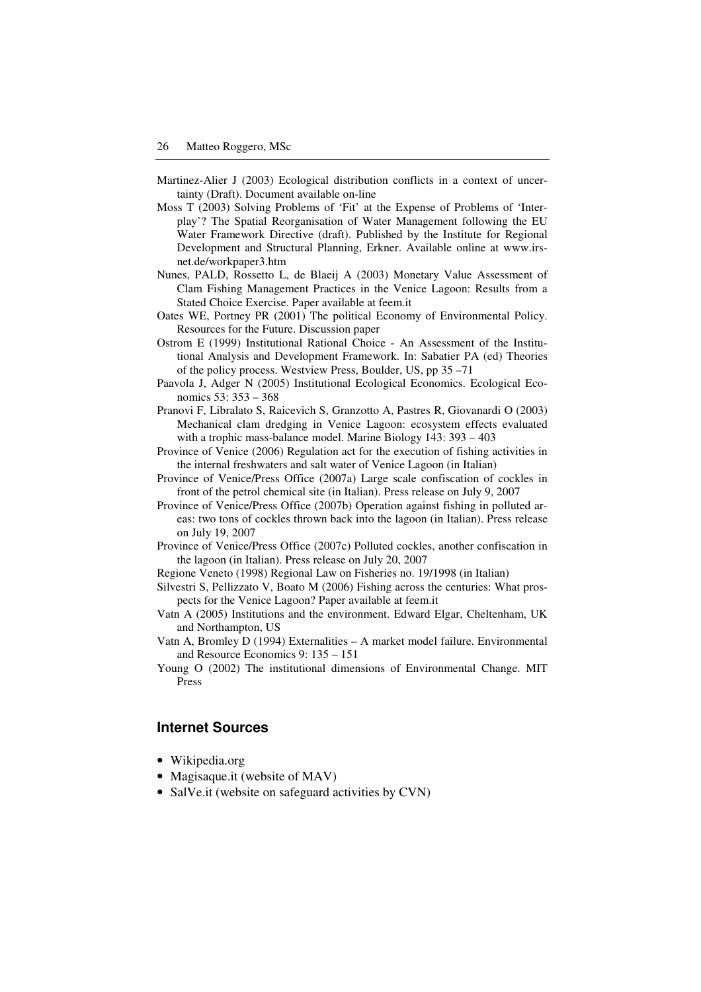- Martinez-Alier J (2003) Ecological distribution conflicts in a context of uncertainty (Draft). Document available on-line
- Moss T (2003) Solving Problems of 'Fit' at the Expense of Problems of 'Interplay'? The Spatial Reorganisation of Water Management following the EU Water Framework Directive (draft). Published by the Institute for Regional Development and Structural Planning, Erkner. Available online at www.irsnet.de/workpaper3.htm
- Nunes, PALD, Rossetto L, de Blaeij A (2003) Monetary Value Assessment of Clam Fishing Management Practices in the Venice Lagoon: Results from a Stated Choice Exercise. Paper available at feem.it
- Oates WE, Portney PR (2001) The political Economy of Environmental Policy. Resources for the Future. Discussion paper
- Ostrom E (1999) Institutional Rational Choice An Assessment of the Institutional Analysis and Development Framework. In: Sabatier PA (ed) Theories of the policy process. Westview Press, Boulder, US, pp 35 –71
- Paavola J, Adger N (2005) Institutional Ecological Economics. Ecological Economics 53: 353 – 368
- Pranovi F, Libralato S, Raicevich S, Granzotto A, Pastres R, Giovanardi O (2003) Mechanical clam dredging in Venice Lagoon: ecosystem effects evaluated with a trophic mass-balance model. Marine Biology 143: 393 – 403
- Province of Venice (2006) Regulation act for the execution of fishing activities in the internal freshwaters and salt water of Venice Lagoon (in Italian)
- Province of Venice/Press Office (2007a) Large scale confiscation of cockles in front of the petrol chemical site (in Italian). Press release on July 9, 2007
- Province of Venice/Press Office (2007b) Operation against fishing in polluted areas: two tons of cockles thrown back into the lagoon (in Italian). Press release on July 19, 2007
- Province of Venice/Press Office (2007c) Polluted cockles, another confiscation in the lagoon (in Italian). Press release on July 20, 2007
- Regione Veneto (1998) Regional Law on Fisheries no. 19/1998 (in Italian)
- Silvestri S, Pellizzato V, Boato M (2006) Fishing across the centuries: What prospects for the Venice Lagoon? Paper available at feem.it
- Vatn A (2005) Institutions and the environment. Edward Elgar, Cheltenham, UK and Northampton, US
- Vatn A, Bromley D (1994) Externalities A market model failure. Environmental and Resource Economics 9: 135 – 151
- Young O (2002) The institutional dimensions of Environmental Change. MIT Press

# **Internet Sources**

- Wikipedia.org
- Magisaque.it (website of MAV)
- SalVe.it (website on safeguard activities by CVN)